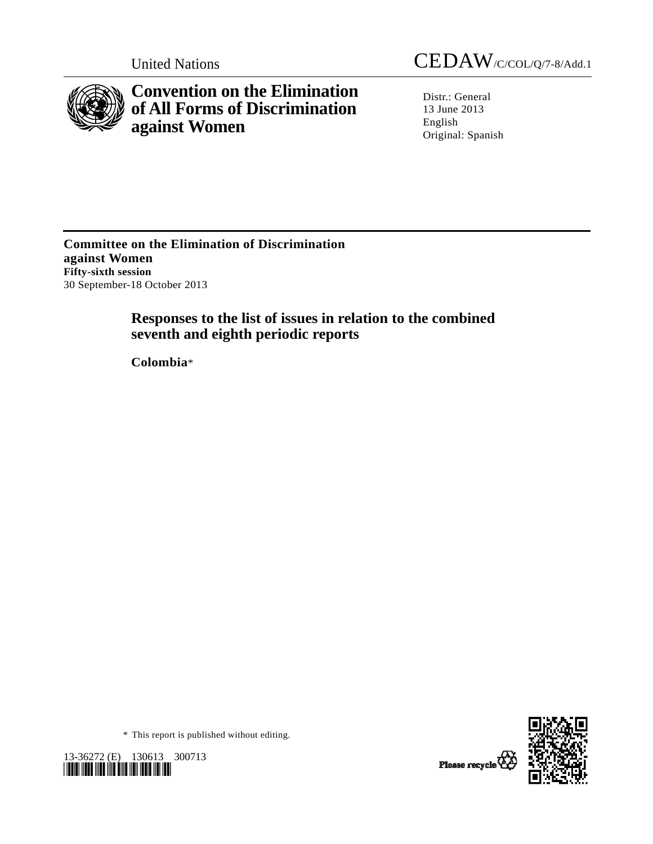

**Convention on the Elimination of All Forms of Discrimination against Women** 

United Nations CEDAW/C/COL/Q/7-8/Add.1

Distr.: General 13 June 2013 English Original: Spanish

**Committee on the Elimination of Discrimination against Women Fifty-sixth session**  30 September-18 October 2013

# **Responses to the list of issues in relation to the combined seventh and eighth periodic reports**

 **Colombia**\*



\* This report is published without editing.

13-36272 (E) 130613 300713 *\*1336272\** 

Please recycle<sup>7</sup>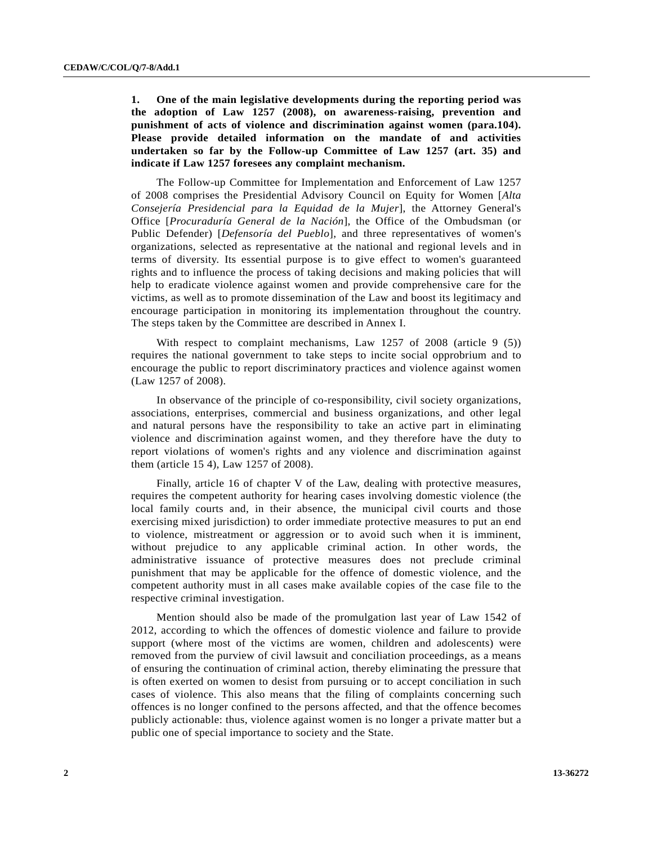**1. One of the main legislative developments during the reporting period was the adoption of Law 1257 (2008), on awareness-raising, prevention and punishment of acts of violence and discrimination against women (para.104). Please provide detailed information on the mandate of and activities undertaken so far by the Follow-up Committee of Law 1257 (art. 35) and indicate if Law 1257 foresees any complaint mechanism.** 

 The Follow-up Committee for Implementation and Enforcement of Law 1257 of 2008 comprises the Presidential Advisory Council on Equity for Women [*Alta Consejería Presidencial para la Equidad de la Mujer*], the Attorney General's Office [*Procuraduría General de la Nación*], the Office of the Ombudsman (or Public Defender) [*Defensoría del Pueblo*], and three representatives of women's organizations, selected as representative at the national and regional levels and in terms of diversity. Its essential purpose is to give effect to women's guaranteed rights and to influence the process of taking decisions and making policies that will help to eradicate violence against women and provide comprehensive care for the victims, as well as to promote dissemination of the Law and boost its legitimacy and encourage participation in monitoring its implementation throughout the country. The steps taken by the Committee are described in Annex I.

With respect to complaint mechanisms, Law 1257 of 2008 (article 9 (5)) requires the national government to take steps to incite social opprobrium and to encourage the public to report discriminatory practices and violence against women (Law 1257 of 2008).

 In observance of the principle of co-responsibility, civil society organizations, associations, enterprises, commercial and business organizations, and other legal and natural persons have the responsibility to take an active part in eliminating violence and discrimination against women, and they therefore have the duty to report violations of women's rights and any violence and discrimination against them (article 15 4), Law 1257 of 2008).

 Finally, article 16 of chapter V of the Law, dealing with protective measures, requires the competent authority for hearing cases involving domestic violence (the local family courts and, in their absence, the municipal civil courts and those exercising mixed jurisdiction) to order immediate protective measures to put an end to violence, mistreatment or aggression or to avoid such when it is imminent, without prejudice to any applicable criminal action. In other words, the administrative issuance of protective measures does not preclude criminal punishment that may be applicable for the offence of domestic violence, and the competent authority must in all cases make available copies of the case file to the respective criminal investigation.

 Mention should also be made of the promulgation last year of Law 1542 of 2012, according to which the offences of domestic violence and failure to provide support (where most of the victims are women, children and adolescents) were removed from the purview of civil lawsuit and conciliation proceedings, as a means of ensuring the continuation of criminal action, thereby eliminating the pressure that is often exerted on women to desist from pursuing or to accept conciliation in such cases of violence. This also means that the filing of complaints concerning such offences is no longer confined to the persons affected, and that the offence becomes publicly actionable: thus, violence against women is no longer a private matter but a public one of special importance to society and the State.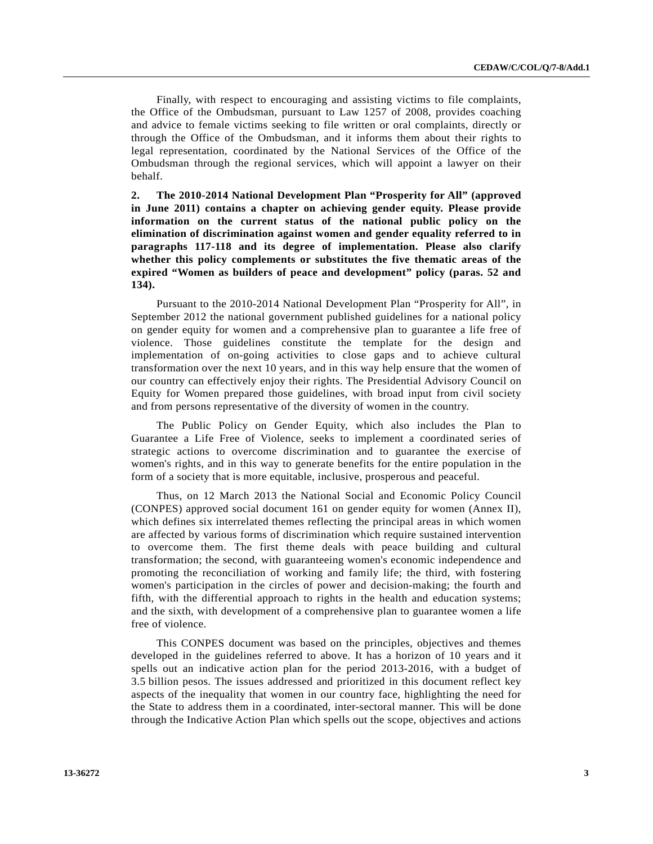Finally, with respect to encouraging and assisting victims to file complaints, the Office of the Ombudsman, pursuant to Law 1257 of 2008, provides coaching and advice to female victims seeking to file written or oral complaints, directly or through the Office of the Ombudsman, and it informs them about their rights to legal representation, coordinated by the National Services of the Office of the Ombudsman through the regional services, which will appoint a lawyer on their behalf.

**2. The 2010-2014 National Development Plan "Prosperity for All" (approved in June 2011) contains a chapter on achieving gender equity. Please provide information on the current status of the national public policy on the elimination of discrimination against women and gender equality referred to in paragraphs 117-118 and its degree of implementation. Please also clarify whether this policy complements or substitutes the five thematic areas of the expired "Women as builders of peace and development" policy (paras. 52 and 134).** 

 Pursuant to the 2010-2014 National Development Plan "Prosperity for All", in September 2012 the national government published guidelines for a national policy on gender equity for women and a comprehensive plan to guarantee a life free of violence. Those guidelines constitute the template for the design and implementation of on-going activities to close gaps and to achieve cultural transformation over the next 10 years, and in this way help ensure that the women of our country can effectively enjoy their rights. The Presidential Advisory Council on Equity for Women prepared those guidelines, with broad input from civil society and from persons representative of the diversity of women in the country.

 The Public Policy on Gender Equity, which also includes the Plan to Guarantee a Life Free of Violence, seeks to implement a coordinated series of strategic actions to overcome discrimination and to guarantee the exercise of women's rights, and in this way to generate benefits for the entire population in the form of a society that is more equitable, inclusive, prosperous and peaceful.

 Thus, on 12 March 2013 the National Social and Economic Policy Council (CONPES) approved social document 161 on gender equity for women (Annex II), which defines six interrelated themes reflecting the principal areas in which women are affected by various forms of discrimination which require sustained intervention to overcome them. The first theme deals with peace building and cultural transformation; the second, with guaranteeing women's economic independence and promoting the reconciliation of working and family life; the third, with fostering women's participation in the circles of power and decision-making; the fourth and fifth, with the differential approach to rights in the health and education systems; and the sixth, with development of a comprehensive plan to guarantee women a life free of violence.

 This CONPES document was based on the principles, objectives and themes developed in the guidelines referred to above. It has a horizon of 10 years and it spells out an indicative action plan for the period 2013-2016, with a budget of 3.5 billion pesos. The issues addressed and prioritized in this document reflect key aspects of the inequality that women in our country face, highlighting the need for the State to address them in a coordinated, inter-sectoral manner. This will be done through the Indicative Action Plan which spells out the scope, objectives and actions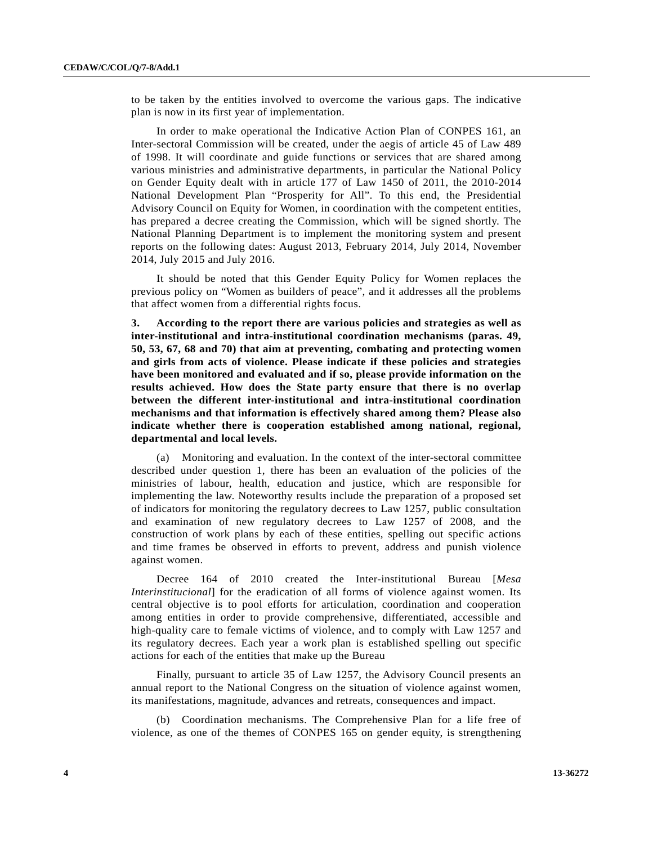to be taken by the entities involved to overcome the various gaps. The indicative plan is now in its first year of implementation.

 In order to make operational the Indicative Action Plan of CONPES 161, an Inter-sectoral Commission will be created, under the aegis of article 45 of Law 489 of 1998. It will coordinate and guide functions or services that are shared among various ministries and administrative departments, in particular the National Policy on Gender Equity dealt with in article 177 of Law 1450 of 2011, the 2010-2014 National Development Plan "Prosperity for All". To this end, the Presidential Advisory Council on Equity for Women, in coordination with the competent entities, has prepared a decree creating the Commission, which will be signed shortly. The National Planning Department is to implement the monitoring system and present reports on the following dates: August 2013, February 2014, July 2014, November 2014, July 2015 and July 2016.

 It should be noted that this Gender Equity Policy for Women replaces the previous policy on "Women as builders of peace", and it addresses all the problems that affect women from a differential rights focus.

**3. According to the report there are various policies and strategies as well as inter-institutional and intra-institutional coordination mechanisms (paras. 49, 50, 53, 67, 68 and 70) that aim at preventing, combating and protecting women and girls from acts of violence. Please indicate if these policies and strategies have been monitored and evaluated and if so, please provide information on the results achieved. How does the State party ensure that there is no overlap between the different inter-institutional and intra-institutional coordination mechanisms and that information is effectively shared among them? Please also indicate whether there is cooperation established among national, regional, departmental and local levels.** 

 (a) Monitoring and evaluation. In the context of the inter-sectoral committee described under question 1, there has been an evaluation of the policies of the ministries of labour, health, education and justice, which are responsible for implementing the law. Noteworthy results include the preparation of a proposed set of indicators for monitoring the regulatory decrees to Law 1257, public consultation and examination of new regulatory decrees to Law 1257 of 2008, and the construction of work plans by each of these entities, spelling out specific actions and time frames be observed in efforts to prevent, address and punish violence against women.

 Decree 164 of 2010 created the Inter-institutional Bureau [*Mesa Interinstitucional*] for the eradication of all forms of violence against women. Its central objective is to pool efforts for articulation, coordination and cooperation among entities in order to provide comprehensive, differentiated, accessible and high-quality care to female victims of violence, and to comply with Law 1257 and its regulatory decrees. Each year a work plan is established spelling out specific actions for each of the entities that make up the Bureau

 Finally, pursuant to article 35 of Law 1257, the Advisory Council presents an annual report to the National Congress on the situation of violence against women, its manifestations, magnitude, advances and retreats, consequences and impact.

 (b) Coordination mechanisms. The Comprehensive Plan for a life free of violence, as one of the themes of CONPES 165 on gender equity, is strengthening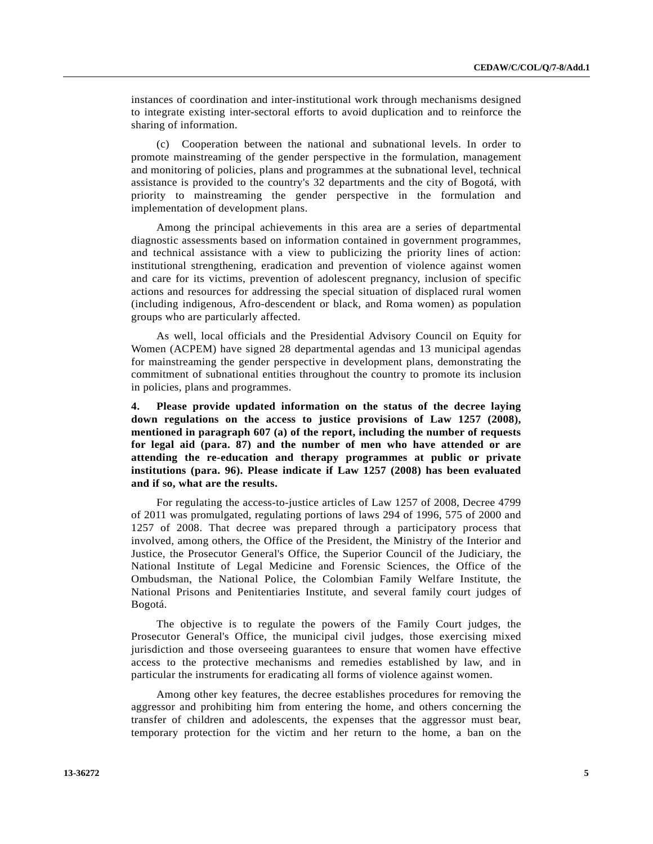instances of coordination and inter-institutional work through mechanisms designed to integrate existing inter-sectoral efforts to avoid duplication and to reinforce the sharing of information.

 (c) Cooperation between the national and subnational levels. In order to promote mainstreaming of the gender perspective in the formulation, management and monitoring of policies, plans and programmes at the subnational level, technical assistance is provided to the country's 32 departments and the city of Bogotá, with priority to mainstreaming the gender perspective in the formulation and implementation of development plans.

 Among the principal achievements in this area are a series of departmental diagnostic assessments based on information contained in government programmes, and technical assistance with a view to publicizing the priority lines of action: institutional strengthening, eradication and prevention of violence against women and care for its victims, prevention of adolescent pregnancy, inclusion of specific actions and resources for addressing the special situation of displaced rural women (including indigenous, Afro-descendent or black, and Roma women) as population groups who are particularly affected.

 As well, local officials and the Presidential Advisory Council on Equity for Women (ACPEM) have signed 28 departmental agendas and 13 municipal agendas for mainstreaming the gender perspective in development plans, demonstrating the commitment of subnational entities throughout the country to promote its inclusion in policies, plans and programmes.

**4. Please provide updated information on the status of the decree laying down regulations on the access to justice provisions of Law 1257 (2008), mentioned in paragraph 607 (a) of the report, including the number of requests for legal aid (para. 87) and the number of men who have attended or are attending the re-education and therapy programmes at public or private institutions (para. 96). Please indicate if Law 1257 (2008) has been evaluated and if so, what are the results.** 

 For regulating the access-to-justice articles of Law 1257 of 2008, Decree 4799 of 2011 was promulgated, regulating portions of laws 294 of 1996, 575 of 2000 and 1257 of 2008. That decree was prepared through a participatory process that involved, among others, the Office of the President, the Ministry of the Interior and Justice, the Prosecutor General's Office, the Superior Council of the Judiciary, the National Institute of Legal Medicine and Forensic Sciences, the Office of the Ombudsman, the National Police, the Colombian Family Welfare Institute, the National Prisons and Penitentiaries Institute, and several family court judges of Bogotá.

 The objective is to regulate the powers of the Family Court judges, the Prosecutor General's Office, the municipal civil judges, those exercising mixed jurisdiction and those overseeing guarantees to ensure that women have effective access to the protective mechanisms and remedies established by law, and in particular the instruments for eradicating all forms of violence against women.

 Among other key features, the decree establishes procedures for removing the aggressor and prohibiting him from entering the home, and others concerning the transfer of children and adolescents, the expenses that the aggressor must bear, temporary protection for the victim and her return to the home, a ban on the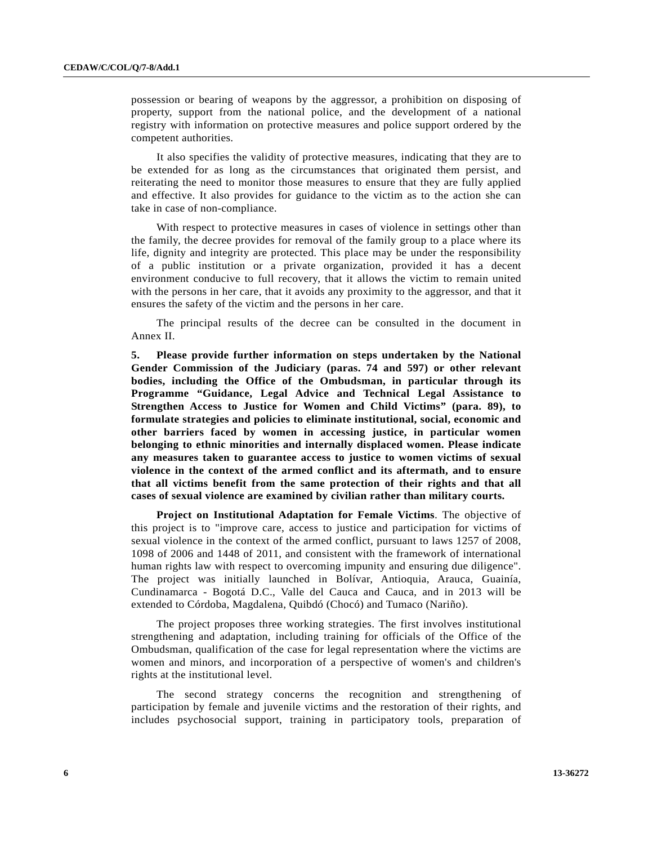possession or bearing of weapons by the aggressor, a prohibition on disposing of property, support from the national police, and the development of a national registry with information on protective measures and police support ordered by the competent authorities.

 It also specifies the validity of protective measures, indicating that they are to be extended for as long as the circumstances that originated them persist, and reiterating the need to monitor those measures to ensure that they are fully applied and effective. It also provides for guidance to the victim as to the action she can take in case of non-compliance.

 With respect to protective measures in cases of violence in settings other than the family, the decree provides for removal of the family group to a place where its life, dignity and integrity are protected. This place may be under the responsibility of a public institution or a private organization, provided it has a decent environment conducive to full recovery, that it allows the victim to remain united with the persons in her care, that it avoids any proximity to the aggressor, and that it ensures the safety of the victim and the persons in her care.

 The principal results of the decree can be consulted in the document in Annex II.

**5. Please provide further information on steps undertaken by the National Gender Commission of the Judiciary (paras. 74 and 597) or other relevant bodies, including the Office of the Ombudsman, in particular through its Programme "Guidance, Legal Advice and Technical Legal Assistance to Strengthen Access to Justice for Women and Child Victims" (para. 89), to formulate strategies and policies to eliminate institutional, social, economic and other barriers faced by women in accessing justice, in particular women belonging to ethnic minorities and internally displaced women. Please indicate any measures taken to guarantee access to justice to women victims of sexual violence in the context of the armed conflict and its aftermath, and to ensure that all victims benefit from the same protection of their rights and that all cases of sexual violence are examined by civilian rather than military courts.** 

**Project on Institutional Adaptation for Female Victims**. The objective of this project is to "improve care, access to justice and participation for victims of sexual violence in the context of the armed conflict, pursuant to laws 1257 of 2008, 1098 of 2006 and 1448 of 2011, and consistent with the framework of international human rights law with respect to overcoming impunity and ensuring due diligence". The project was initially launched in Bolívar, Antioquia, Arauca, Guainía, Cundinamarca - Bogotá D.C., Valle del Cauca and Cauca, and in 2013 will be extended to Córdoba, Magdalena, Quibdó (Chocó) and Tumaco (Nariño).

 The project proposes three working strategies. The first involves institutional strengthening and adaptation, including training for officials of the Office of the Ombudsman, qualification of the case for legal representation where the victims are women and minors, and incorporation of a perspective of women's and children's rights at the institutional level.

 The second strategy concerns the recognition and strengthening of participation by female and juvenile victims and the restoration of their rights, and includes psychosocial support, training in participatory tools, preparation of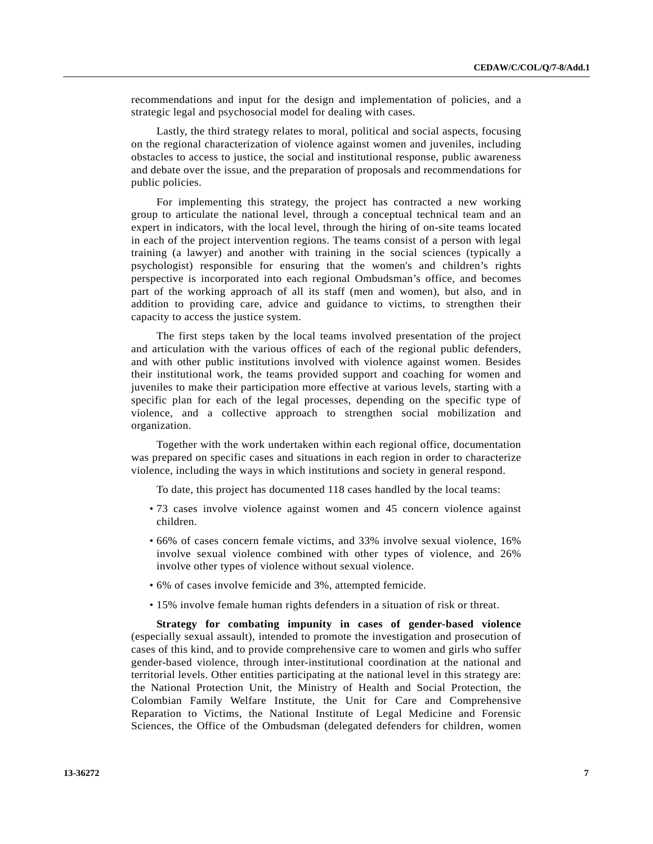recommendations and input for the design and implementation of policies, and a strategic legal and psychosocial model for dealing with cases.

 Lastly, the third strategy relates to moral, political and social aspects, focusing on the regional characterization of violence against women and juveniles, including obstacles to access to justice, the social and institutional response, public awareness and debate over the issue, and the preparation of proposals and recommendations for public policies.

 For implementing this strategy, the project has contracted a new working group to articulate the national level, through a conceptual technical team and an expert in indicators, with the local level, through the hiring of on-site teams located in each of the project intervention regions. The teams consist of a person with legal training (a lawyer) and another with training in the social sciences (typically a psychologist) responsible for ensuring that the women's and children's rights perspective is incorporated into each regional Ombudsman's office, and becomes part of the working approach of all its staff (men and women), but also, and in addition to providing care, advice and guidance to victims, to strengthen their capacity to access the justice system.

 The first steps taken by the local teams involved presentation of the project and articulation with the various offices of each of the regional public defenders, and with other public institutions involved with violence against women. Besides their institutional work, the teams provided support and coaching for women and juveniles to make their participation more effective at various levels, starting with a specific plan for each of the legal processes, depending on the specific type of violence, and a collective approach to strengthen social mobilization and organization.

 Together with the work undertaken within each regional office, documentation was prepared on specific cases and situations in each region in order to characterize violence, including the ways in which institutions and society in general respond.

To date, this project has documented 118 cases handled by the local teams:

- 73 cases involve violence against women and 45 concern violence against children.
- 66% of cases concern female victims, and 33% involve sexual violence, 16% involve sexual violence combined with other types of violence, and 26% involve other types of violence without sexual violence.
- 6% of cases involve femicide and 3%, attempted femicide.
- 15% involve female human rights defenders in a situation of risk or threat.

**Strategy for combating impunity in cases of gender-based violence** (especially sexual assault), intended to promote the investigation and prosecution of cases of this kind, and to provide comprehensive care to women and girls who suffer gender-based violence, through inter-institutional coordination at the national and territorial levels. Other entities participating at the national level in this strategy are: the National Protection Unit, the Ministry of Health and Social Protection, the Colombian Family Welfare Institute, the Unit for Care and Comprehensive Reparation to Victims, the National Institute of Legal Medicine and Forensic Sciences, the Office of the Ombudsman (delegated defenders for children, women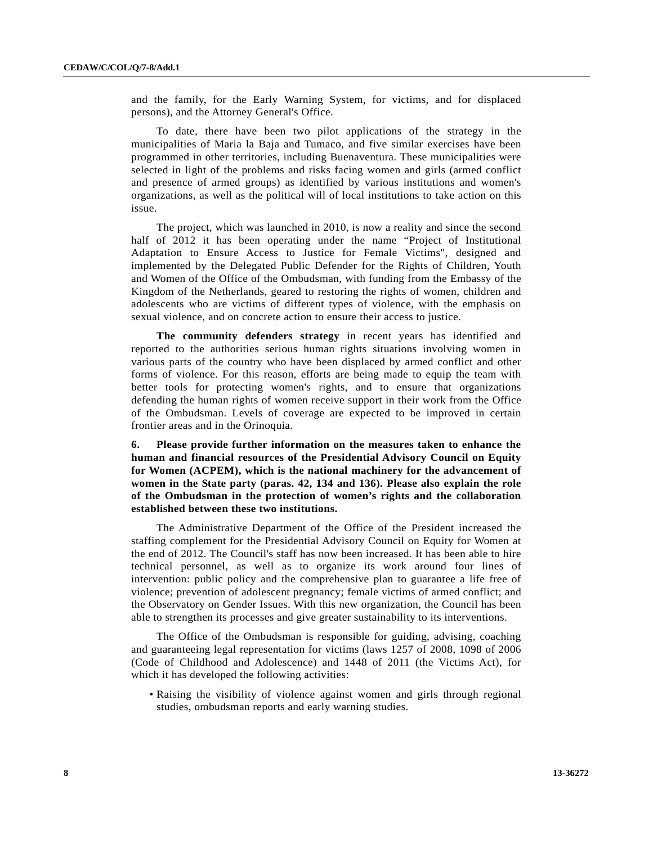and the family, for the Early Warning System, for victims, and for displaced persons), and the Attorney General's Office.

 To date, there have been two pilot applications of the strategy in the municipalities of Maria la Baja and Tumaco, and five similar exercises have been programmed in other territories, including Buenaventura. These municipalities were selected in light of the problems and risks facing women and girls (armed conflict and presence of armed groups) as identified by various institutions and women's organizations, as well as the political will of local institutions to take action on this issue.

 The project, which was launched in 2010, is now a reality and since the second half of 2012 it has been operating under the name "Project of Institutional Adaptation to Ensure Access to Justice for Female Victims", designed and implemented by the Delegated Public Defender for the Rights of Children, Youth and Women of the Office of the Ombudsman, with funding from the Embassy of the Kingdom of the Netherlands, geared to restoring the rights of women, children and adolescents who are victims of different types of violence, with the emphasis on sexual violence, and on concrete action to ensure their access to justice.

**The community defenders strategy** in recent years has identified and reported to the authorities serious human rights situations involving women in various parts of the country who have been displaced by armed conflict and other forms of violence. For this reason, efforts are being made to equip the team with better tools for protecting women's rights, and to ensure that organizations defending the human rights of women receive support in their work from the Office of the Ombudsman. Levels of coverage are expected to be improved in certain frontier areas and in the Orinoquia.

**6. Please provide further information on the measures taken to enhance the human and financial resources of the Presidential Advisory Council on Equity for Women (ACPEM), which is the national machinery for the advancement of women in the State party (paras. 42, 134 and 136). Please also explain the role of the Ombudsman in the protection of women's rights and the collaboration established between these two institutions.** 

 The Administrative Department of the Office of the President increased the staffing complement for the Presidential Advisory Council on Equity for Women at the end of 2012. The Council's staff has now been increased. It has been able to hire technical personnel, as well as to organize its work around four lines of intervention: public policy and the comprehensive plan to guarantee a life free of violence; prevention of adolescent pregnancy; female victims of armed conflict; and the Observatory on Gender Issues. With this new organization, the Council has been able to strengthen its processes and give greater sustainability to its interventions.

 The Office of the Ombudsman is responsible for guiding, advising, coaching and guaranteeing legal representation for victims (laws 1257 of 2008, 1098 of 2006 (Code of Childhood and Adolescence) and 1448 of 2011 (the Victims Act), for which it has developed the following activities:

 • Raising the visibility of violence against women and girls through regional studies, ombudsman reports and early warning studies.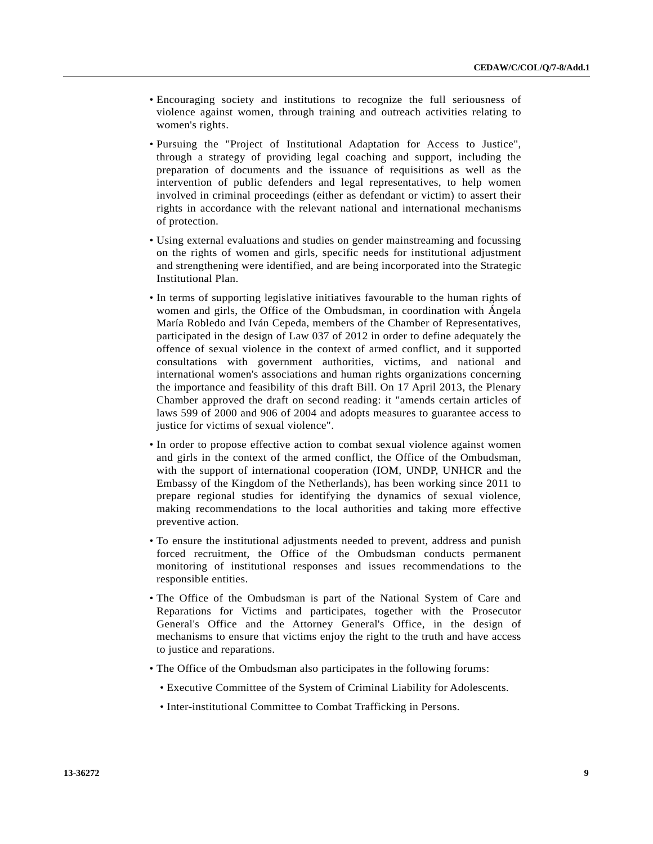- Encouraging society and institutions to recognize the full seriousness of violence against women, through training and outreach activities relating to women's rights.
- Pursuing the "Project of Institutional Adaptation for Access to Justice", through a strategy of providing legal coaching and support, including the preparation of documents and the issuance of requisitions as well as the intervention of public defenders and legal representatives, to help women involved in criminal proceedings (either as defendant or victim) to assert their rights in accordance with the relevant national and international mechanisms of protection.
- Using external evaluations and studies on gender mainstreaming and focussing on the rights of women and girls, specific needs for institutional adjustment and strengthening were identified, and are being incorporated into the Strategic Institutional Plan.
- In terms of supporting legislative initiatives favourable to the human rights of women and girls, the Office of the Ombudsman, in coordination with Ángela María Robledo and Iván Cepeda, members of the Chamber of Representatives, participated in the design of Law 037 of 2012 in order to define adequately the offence of sexual violence in the context of armed conflict, and it supported consultations with government authorities, victims, and national and international women's associations and human rights organizations concerning the importance and feasibility of this draft Bill. On 17 April 2013, the Plenary Chamber approved the draft on second reading: it "amends certain articles of laws 599 of 2000 and 906 of 2004 and adopts measures to guarantee access to justice for victims of sexual violence".
- In order to propose effective action to combat sexual violence against women and girls in the context of the armed conflict, the Office of the Ombudsman, with the support of international cooperation (IOM, UNDP, UNHCR and the Embassy of the Kingdom of the Netherlands), has been working since 2011 to prepare regional studies for identifying the dynamics of sexual violence, making recommendations to the local authorities and taking more effective preventive action.
- To ensure the institutional adjustments needed to prevent, address and punish forced recruitment, the Office of the Ombudsman conducts permanent monitoring of institutional responses and issues recommendations to the responsible entities.
- The Office of the Ombudsman is part of the National System of Care and Reparations for Victims and participates, together with the Prosecutor General's Office and the Attorney General's Office, in the design of mechanisms to ensure that victims enjoy the right to the truth and have access to justice and reparations.
- The Office of the Ombudsman also participates in the following forums:
	- Executive Committee of the System of Criminal Liability for Adolescents.
	- Inter-institutional Committee to Combat Trafficking in Persons.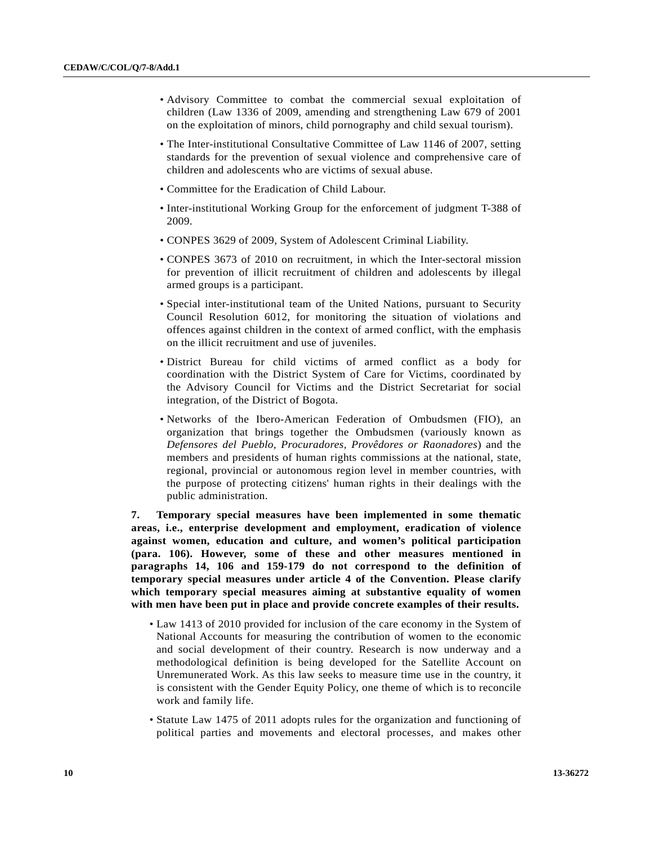- Advisory Committee to combat the commercial sexual exploitation of children (Law 1336 of 2009, amending and strengthening Law 679 of 2001 on the exploitation of minors, child pornography and child sexual tourism).
- The Inter-institutional Consultative Committee of Law 1146 of 2007, setting standards for the prevention of sexual violence and comprehensive care of children and adolescents who are victims of sexual abuse.
- Committee for the Eradication of Child Labour.
- Inter-institutional Working Group for the enforcement of judgment T-388 of 2009.
- CONPES 3629 of 2009, System of Adolescent Criminal Liability.
- CONPES 3673 of 2010 on recruitment, in which the Inter-sectoral mission for prevention of illicit recruitment of children and adolescents by illegal armed groups is a participant.
- Special inter-institutional team of the United Nations, pursuant to Security Council Resolution 6012, for monitoring the situation of violations and offences against children in the context of armed conflict, with the emphasis on the illicit recruitment and use of juveniles.
- District Bureau for child victims of armed conflict as a body for coordination with the District System of Care for Victims, coordinated by the Advisory Council for Victims and the District Secretariat for social integration, of the District of Bogota.
- Networks of the Ibero-American Federation of Ombudsmen (FIO), an organization that brings together the Ombudsmen (variously known as *Defensores del Pueblo, Procuradores, Provêdores or Raonadores*) and the members and presidents of human rights commissions at the national, state, regional, provincial or autonomous region level in member countries, with the purpose of protecting citizens' human rights in their dealings with the public administration.

**7. Temporary special measures have been implemented in some thematic areas, i.e., enterprise development and employment, eradication of violence against women, education and culture, and women's political participation (para. 106). However, some of these and other measures mentioned in paragraphs 14, 106 and 159-179 do not correspond to the definition of temporary special measures under article 4 of the Convention. Please clarify which temporary special measures aiming at substantive equality of women with men have been put in place and provide concrete examples of their results.** 

- Law 1413 of 2010 provided for inclusion of the care economy in the System of National Accounts for measuring the contribution of women to the economic and social development of their country. Research is now underway and a methodological definition is being developed for the Satellite Account on Unremunerated Work. As this law seeks to measure time use in the country, it is consistent with the Gender Equity Policy, one theme of which is to reconcile work and family life.
- Statute Law 1475 of 2011 adopts rules for the organization and functioning of political parties and movements and electoral processes, and makes other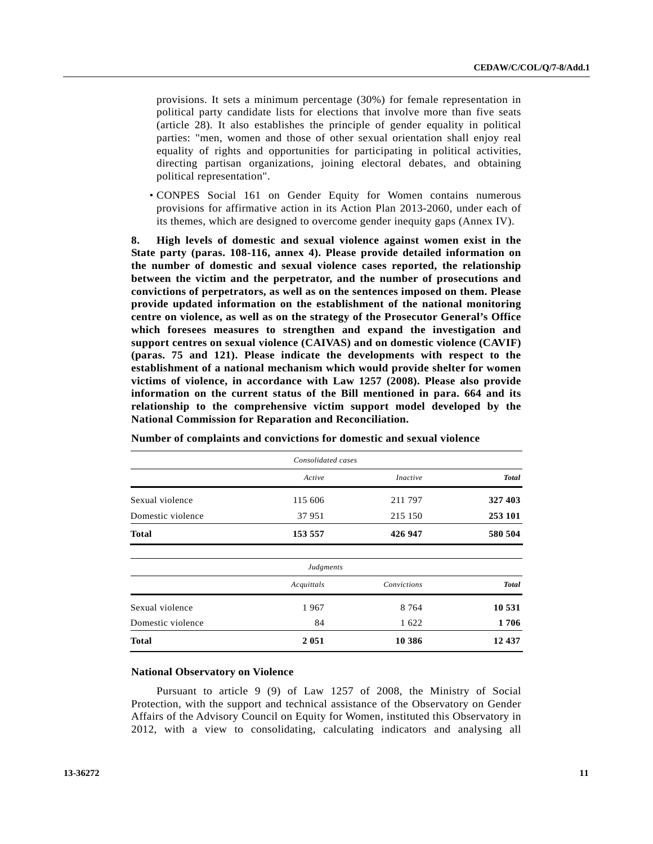provisions. It sets a minimum percentage (30%) for female representation in political party candidate lists for elections that involve more than five seats (article 28). It also establishes the principle of gender equality in political parties: "men, women and those of other sexual orientation shall enjoy real equality of rights and opportunities for participating in political activities, directing partisan organizations, joining electoral debates, and obtaining political representation".

 • CONPES Social 161 on Gender Equity for Women contains numerous provisions for affirmative action in its Action Plan 2013-2060, under each of its themes, which are designed to overcome gender inequity gaps (Annex IV).

**8. High levels of domestic and sexual violence against women exist in the State party (paras. 108-116, annex 4). Please provide detailed information on the number of domestic and sexual violence cases reported, the relationship between the victim and the perpetrator, and the number of prosecutions and convictions of perpetrators, as well as on the sentences imposed on them. Please provide updated information on the establishment of the national monitoring centre on violence, as well as on the strategy of the Prosecutor General's Office which foresees measures to strengthen and expand the investigation and support centres on sexual violence (CAIVAS) and on domestic violence (CAVIF) (paras. 75 and 121). Please indicate the developments with respect to the establishment of a national mechanism which would provide shelter for women victims of violence, in accordance with Law 1257 (2008). Please also provide information on the current status of the Bill mentioned in para. 664 and its relationship to the comprehensive victim support model developed by the National Commission for Reparation and Reconciliation.** 

|                   | Consolidated cases |                 |              |  |
|-------------------|--------------------|-----------------|--------------|--|
|                   | Active             | <i>Inactive</i> | <b>Total</b> |  |
| Sexual violence   | 115 606            | 211 797         | 327 403      |  |
| Domestic violence | 37951              | 215 150         | 253 101      |  |
| <b>Total</b>      | 153 557            | 426 947         | 580 504      |  |
|                   | Judgments          |                 |              |  |
|                   | Acquittals         | Convictions     | <b>Total</b> |  |
| Sexual violence   | 1967               | 8 7 6 4         | 10 531       |  |
| Domestic violence | 84                 | 1622            | 1706         |  |
| <b>Total</b>      | 2051               | 10 386          | 12 437       |  |

**Number of complaints and convictions for domestic and sexual violence** 

#### **National Observatory on Violence**

 Pursuant to article 9 (9) of Law 1257 of 2008, the Ministry of Social Protection, with the support and technical assistance of the Observatory on Gender Affairs of the Advisory Council on Equity for Women, instituted this Observatory in 2012, with a view to consolidating, calculating indicators and analysing all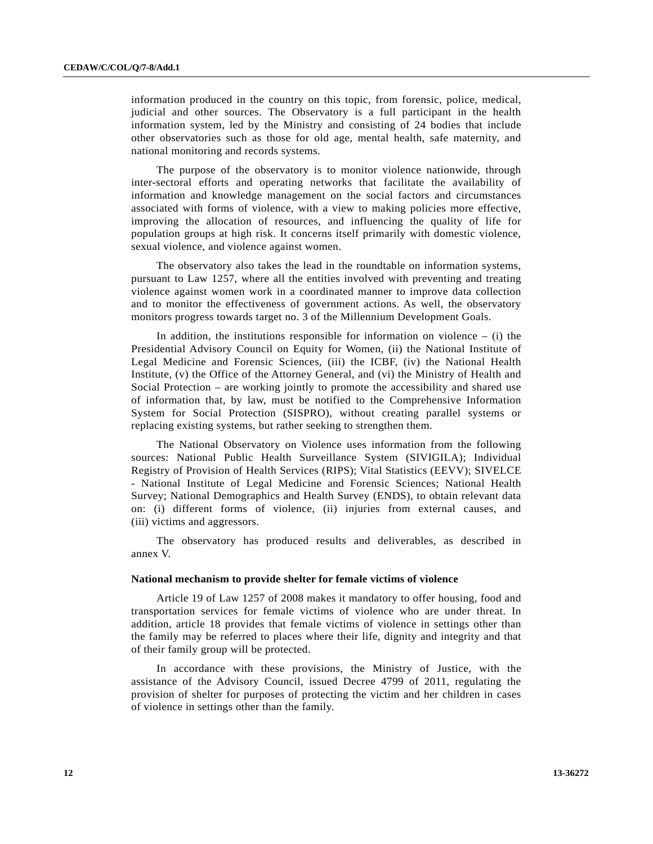information produced in the country on this topic, from forensic, police, medical, judicial and other sources. The Observatory is a full participant in the health information system, led by the Ministry and consisting of 24 bodies that include other observatories such as those for old age, mental health, safe maternity, and national monitoring and records systems.

 The purpose of the observatory is to monitor violence nationwide, through inter-sectoral efforts and operating networks that facilitate the availability of information and knowledge management on the social factors and circumstances associated with forms of violence, with a view to making policies more effective, improving the allocation of resources, and influencing the quality of life for population groups at high risk. It concerns itself primarily with domestic violence, sexual violence, and violence against women.

 The observatory also takes the lead in the roundtable on information systems, pursuant to Law 1257, where all the entities involved with preventing and treating violence against women work in a coordinated manner to improve data collection and to monitor the effectiveness of government actions. As well, the observatory monitors progress towards target no. 3 of the Millennium Development Goals.

In addition, the institutions responsible for information on violence  $-$  (i) the Presidential Advisory Council on Equity for Women, (ii) the National Institute of Legal Medicine and Forensic Sciences, (iii) the ICBF, (iv) the National Health Institute, (v) the Office of the Attorney General, and (vi) the Ministry of Health and Social Protection – are working jointly to promote the accessibility and shared use of information that, by law, must be notified to the Comprehensive Information System for Social Protection (SISPRO), without creating parallel systems or replacing existing systems, but rather seeking to strengthen them.

 The National Observatory on Violence uses information from the following sources: National Public Health Surveillance System (SIVIGILA); Individual Registry of Provision of Health Services (RIPS); Vital Statistics (EEVV); SIVELCE - National Institute of Legal Medicine and Forensic Sciences; National Health Survey; National Demographics and Health Survey (ENDS), to obtain relevant data on: (i) different forms of violence, (ii) injuries from external causes, and (iii) victims and aggressors.

 The observatory has produced results and deliverables, as described in annex V.

#### **National mechanism to provide shelter for female victims of violence**

 Article 19 of Law 1257 of 2008 makes it mandatory to offer housing, food and transportation services for female victims of violence who are under threat. In addition, article 18 provides that female victims of violence in settings other than the family may be referred to places where their life, dignity and integrity and that of their family group will be protected.

 In accordance with these provisions, the Ministry of Justice, with the assistance of the Advisory Council, issued Decree 4799 of 2011, regulating the provision of shelter for purposes of protecting the victim and her children in cases of violence in settings other than the family.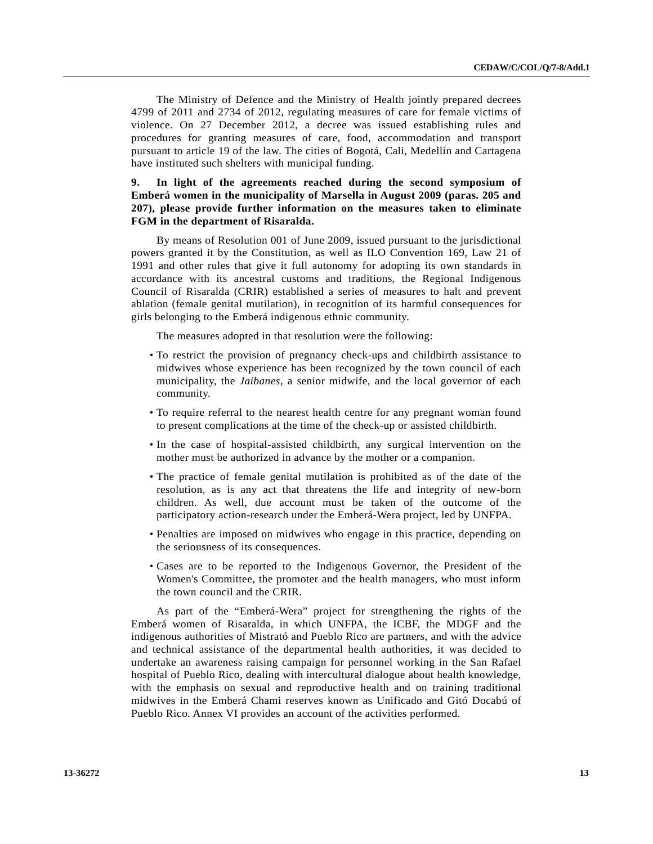The Ministry of Defence and the Ministry of Health jointly prepared decrees 4799 of 2011 and 2734 of 2012, regulating measures of care for female victims of violence. On 27 December 2012, a decree was issued establishing rules and procedures for granting measures of care, food, accommodation and transport pursuant to article 19 of the law. The cities of Bogotá, Cali, Medellín and Cartagena have instituted such shelters with municipal funding.

## **9. In light of the agreements reached during the second symposium of Emberá women in the municipality of Marsella in August 2009 (paras. 205 and 207), please provide further information on the measures taken to eliminate FGM in the department of Risaralda.**

 By means of Resolution 001 of June 2009, issued pursuant to the jurisdictional powers granted it by the Constitution, as well as ILO Convention 169, Law 21 of 1991 and other rules that give it full autonomy for adopting its own standards in accordance with its ancestral customs and traditions, the Regional Indigenous Council of Risaralda (CRIR) established a series of measures to halt and prevent ablation (female genital mutilation), in recognition of its harmful consequences for girls belonging to the Emberá indigenous ethnic community.

The measures adopted in that resolution were the following:

- To restrict the provision of pregnancy check-ups and childbirth assistance to midwives whose experience has been recognized by the town council of each municipality, the *Jaibanes*, a senior midwife, and the local governor of each community.
- To require referral to the nearest health centre for any pregnant woman found to present complications at the time of the check-up or assisted childbirth.
- In the case of hospital-assisted childbirth, any surgical intervention on the mother must be authorized in advance by the mother or a companion.
- The practice of female genital mutilation is prohibited as of the date of the resolution, as is any act that threatens the life and integrity of new-born children. As well, due account must be taken of the outcome of the participatory action-research under the Emberá-Wera project, led by UNFPA.
- Penalties are imposed on midwives who engage in this practice, depending on the seriousness of its consequences.
- Cases are to be reported to the Indigenous Governor, the President of the Women's Committee, the promoter and the health managers, who must inform the town council and the CRIR.

 As part of the "Emberá-Wera" project for strengthening the rights of the Emberá women of Risaralda, in which UNFPA, the ICBF, the MDGF and the indigenous authorities of Mistrató and Pueblo Rico are partners, and with the advice and technical assistance of the departmental health authorities, it was decided to undertake an awareness raising campaign for personnel working in the San Rafael hospital of Pueblo Rico, dealing with intercultural dialogue about health knowledge, with the emphasis on sexual and reproductive health and on training traditional midwives in the Emberá Chami reserves known as Unificado and Gitó Docabú of Pueblo Rico. Annex VI provides an account of the activities performed.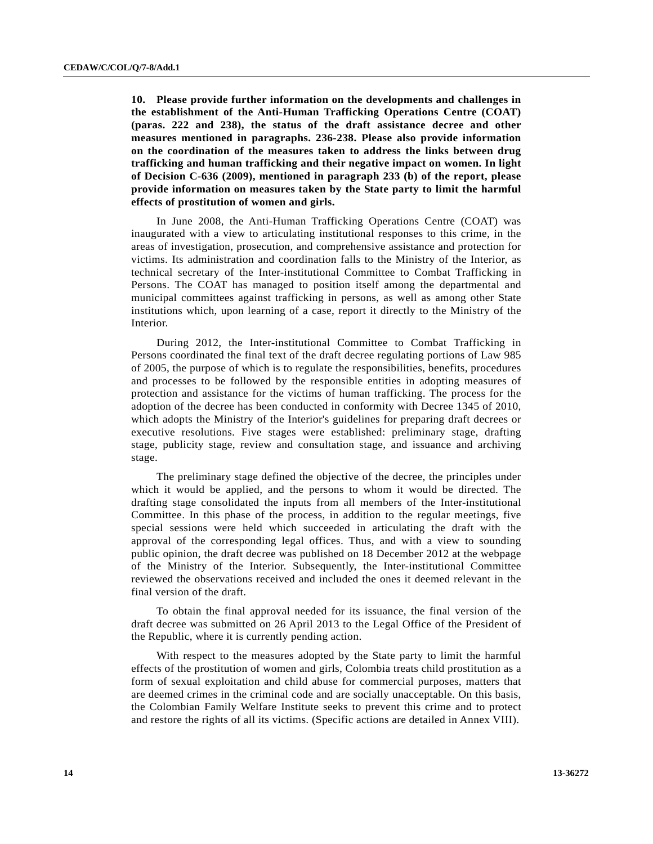**10. Please provide further information on the developments and challenges in the establishment of the Anti-Human Trafficking Operations Centre (COAT) (paras. 222 and 238), the status of the draft assistance decree and other measures mentioned in paragraphs. 236-238. Please also provide information on the coordination of the measures taken to address the links between drug trafficking and human trafficking and their negative impact on women. In light of Decision C-636 (2009), mentioned in paragraph 233 (b) of the report, please provide information on measures taken by the State party to limit the harmful effects of prostitution of women and girls.** 

 In June 2008, the Anti-Human Trafficking Operations Centre (COAT) was inaugurated with a view to articulating institutional responses to this crime, in the areas of investigation, prosecution, and comprehensive assistance and protection for victims. Its administration and coordination falls to the Ministry of the Interior, as technical secretary of the Inter-institutional Committee to Combat Trafficking in Persons. The COAT has managed to position itself among the departmental and municipal committees against trafficking in persons, as well as among other State institutions which, upon learning of a case, report it directly to the Ministry of the Interior.

 During 2012, the Inter-institutional Committee to Combat Trafficking in Persons coordinated the final text of the draft decree regulating portions of Law 985 of 2005, the purpose of which is to regulate the responsibilities, benefits, procedures and processes to be followed by the responsible entities in adopting measures of protection and assistance for the victims of human trafficking. The process for the adoption of the decree has been conducted in conformity with Decree 1345 of 2010, which adopts the Ministry of the Interior's guidelines for preparing draft decrees or executive resolutions. Five stages were established: preliminary stage, drafting stage, publicity stage, review and consultation stage, and issuance and archiving stage.

 The preliminary stage defined the objective of the decree, the principles under which it would be applied, and the persons to whom it would be directed. The drafting stage consolidated the inputs from all members of the Inter-institutional Committee. In this phase of the process, in addition to the regular meetings, five special sessions were held which succeeded in articulating the draft with the approval of the corresponding legal offices. Thus, and with a view to sounding public opinion, the draft decree was published on 18 December 2012 at the webpage of the Ministry of the Interior. Subsequently, the Inter-institutional Committee reviewed the observations received and included the ones it deemed relevant in the final version of the draft.

 To obtain the final approval needed for its issuance, the final version of the draft decree was submitted on 26 April 2013 to the Legal Office of the President of the Republic, where it is currently pending action.

 With respect to the measures adopted by the State party to limit the harmful effects of the prostitution of women and girls, Colombia treats child prostitution as a form of sexual exploitation and child abuse for commercial purposes, matters that are deemed crimes in the criminal code and are socially unacceptable. On this basis, the Colombian Family Welfare Institute seeks to prevent this crime and to protect and restore the rights of all its victims. (Specific actions are detailed in Annex VIII).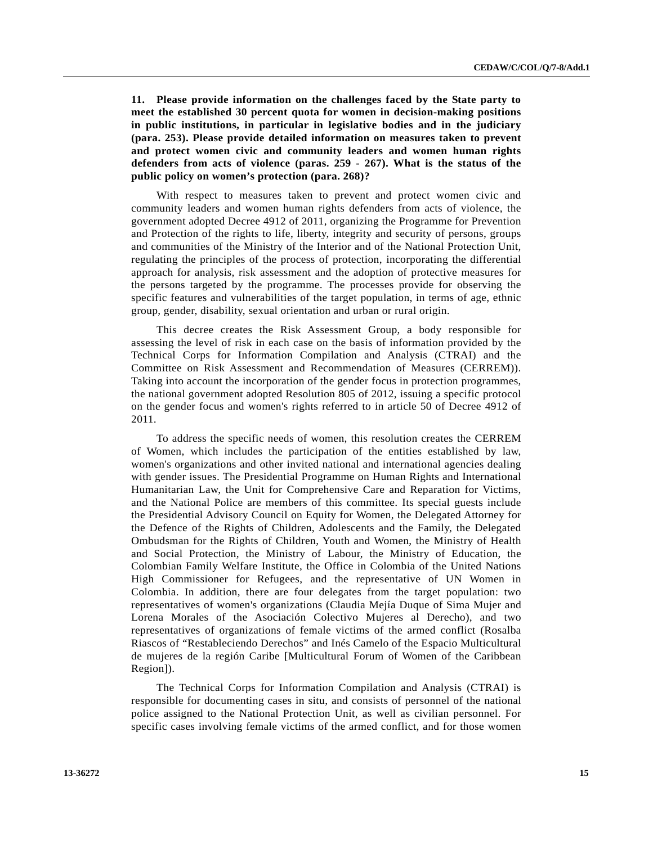**11. Please provide information on the challenges faced by the State party to meet the established 30 percent quota for women in decision-making positions in public institutions, in particular in legislative bodies and in the judiciary (para. 253). Please provide detailed information on measures taken to prevent and protect women civic and community leaders and women human rights defenders from acts of violence (paras. 259 - 267). What is the status of the public policy on women's protection (para. 268)?** 

 With respect to measures taken to prevent and protect women civic and community leaders and women human rights defenders from acts of violence, the government adopted Decree 4912 of 2011, organizing the Programme for Prevention and Protection of the rights to life, liberty, integrity and security of persons, groups and communities of the Ministry of the Interior and of the National Protection Unit, regulating the principles of the process of protection, incorporating the differential approach for analysis, risk assessment and the adoption of protective measures for the persons targeted by the programme. The processes provide for observing the specific features and vulnerabilities of the target population, in terms of age, ethnic group, gender, disability, sexual orientation and urban or rural origin.

 This decree creates the Risk Assessment Group, a body responsible for assessing the level of risk in each case on the basis of information provided by the Technical Corps for Information Compilation and Analysis (CTRAI) and the Committee on Risk Assessment and Recommendation of Measures (CERREM)). Taking into account the incorporation of the gender focus in protection programmes, the national government adopted Resolution 805 of 2012, issuing a specific protocol on the gender focus and women's rights referred to in article 50 of Decree 4912 of 2011.

 To address the specific needs of women, this resolution creates the CERREM of Women, which includes the participation of the entities established by law, women's organizations and other invited national and international agencies dealing with gender issues. The Presidential Programme on Human Rights and International Humanitarian Law, the Unit for Comprehensive Care and Reparation for Victims, and the National Police are members of this committee. Its special guests include the Presidential Advisory Council on Equity for Women, the Delegated Attorney for the Defence of the Rights of Children, Adolescents and the Family, the Delegated Ombudsman for the Rights of Children, Youth and Women, the Ministry of Health and Social Protection, the Ministry of Labour, the Ministry of Education, the Colombian Family Welfare Institute, the Office in Colombia of the United Nations High Commissioner for Refugees, and the representative of UN Women in Colombia. In addition, there are four delegates from the target population: two representatives of women's organizations (Claudia Mejía Duque of Sima Mujer and Lorena Morales of the Asociación Colectivo Mujeres al Derecho), and two representatives of organizations of female victims of the armed conflict (Rosalba Riascos of "Restableciendo Derechos" and Inés Camelo of the Espacio Multicultural de mujeres de la región Caribe [Multicultural Forum of Women of the Caribbean Region]).

 The Technical Corps for Information Compilation and Analysis (CTRAI) is responsible for documenting cases in situ, and consists of personnel of the national police assigned to the National Protection Unit, as well as civilian personnel. For specific cases involving female victims of the armed conflict, and for those women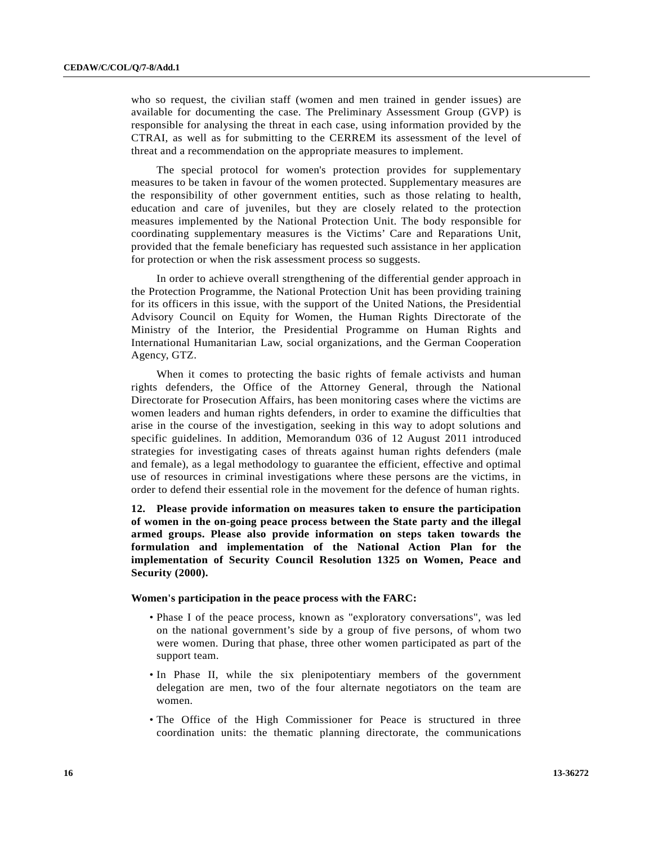who so request, the civilian staff (women and men trained in gender issues) are available for documenting the case. The Preliminary Assessment Group (GVP) is responsible for analysing the threat in each case, using information provided by the CTRAI, as well as for submitting to the CERREM its assessment of the level of threat and a recommendation on the appropriate measures to implement.

 The special protocol for women's protection provides for supplementary measures to be taken in favour of the women protected. Supplementary measures are the responsibility of other government entities, such as those relating to health, education and care of juveniles, but they are closely related to the protection measures implemented by the National Protection Unit. The body responsible for coordinating supplementary measures is the Victims' Care and Reparations Unit, provided that the female beneficiary has requested such assistance in her application for protection or when the risk assessment process so suggests.

 In order to achieve overall strengthening of the differential gender approach in the Protection Programme, the National Protection Unit has been providing training for its officers in this issue, with the support of the United Nations, the Presidential Advisory Council on Equity for Women, the Human Rights Directorate of the Ministry of the Interior, the Presidential Programme on Human Rights and International Humanitarian Law, social organizations, and the German Cooperation Agency, GTZ.

 When it comes to protecting the basic rights of female activists and human rights defenders, the Office of the Attorney General, through the National Directorate for Prosecution Affairs, has been monitoring cases where the victims are women leaders and human rights defenders, in order to examine the difficulties that arise in the course of the investigation, seeking in this way to adopt solutions and specific guidelines. In addition, Memorandum 036 of 12 August 2011 introduced strategies for investigating cases of threats against human rights defenders (male and female), as a legal methodology to guarantee the efficient, effective and optimal use of resources in criminal investigations where these persons are the victims, in order to defend their essential role in the movement for the defence of human rights.

**12. Please provide information on measures taken to ensure the participation of women in the on-going peace process between the State party and the illegal armed groups. Please also provide information on steps taken towards the formulation and implementation of the National Action Plan for the implementation of Security Council Resolution 1325 on Women, Peace and Security (2000).** 

### **Women's participation in the peace process with the FARC:**

- Phase I of the peace process, known as "exploratory conversations", was led on the national government's side by a group of five persons, of whom two were women. During that phase, three other women participated as part of the support team.
- In Phase II, while the six plenipotentiary members of the government delegation are men, two of the four alternate negotiators on the team are women.
- The Office of the High Commissioner for Peace is structured in three coordination units: the thematic planning directorate, the communications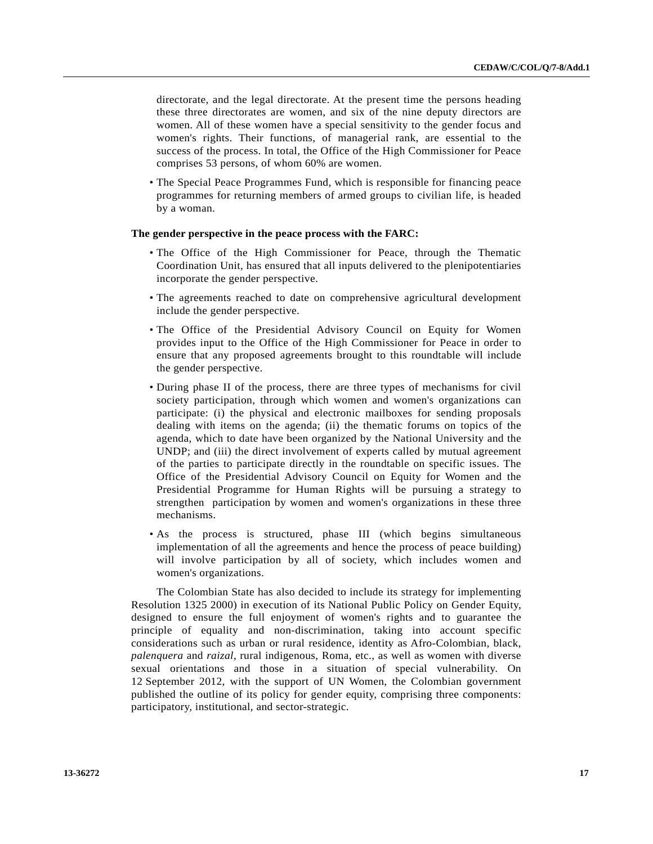directorate, and the legal directorate. At the present time the persons heading these three directorates are women, and six of the nine deputy directors are women. All of these women have a special sensitivity to the gender focus and women's rights. Their functions, of managerial rank, are essential to the success of the process. In total, the Office of the High Commissioner for Peace comprises 53 persons, of whom 60% are women.

 • The Special Peace Programmes Fund, which is responsible for financing peace programmes for returning members of armed groups to civilian life, is headed by a woman.

### **The gender perspective in the peace process with the FARC:**

- The Office of the High Commissioner for Peace, through the Thematic Coordination Unit, has ensured that all inputs delivered to the plenipotentiaries incorporate the gender perspective.
- The agreements reached to date on comprehensive agricultural development include the gender perspective.
- The Office of the Presidential Advisory Council on Equity for Women provides input to the Office of the High Commissioner for Peace in order to ensure that any proposed agreements brought to this roundtable will include the gender perspective.
- During phase II of the process, there are three types of mechanisms for civil society participation, through which women and women's organizations can participate: (i) the physical and electronic mailboxes for sending proposals dealing with items on the agenda; (ii) the thematic forums on topics of the agenda, which to date have been organized by the National University and the UNDP; and (iii) the direct involvement of experts called by mutual agreement of the parties to participate directly in the roundtable on specific issues. The Office of the Presidential Advisory Council on Equity for Women and the Presidential Programme for Human Rights will be pursuing a strategy to strengthen participation by women and women's organizations in these three mechanisms.
- As the process is structured, phase III (which begins simultaneous implementation of all the agreements and hence the process of peace building) will involve participation by all of society, which includes women and women's organizations.

 The Colombian State has also decided to include its strategy for implementing Resolution 1325 2000) in execution of its National Public Policy on Gender Equity, designed to ensure the full enjoyment of women's rights and to guarantee the principle of equality and non-discrimination, taking into account specific considerations such as urban or rural residence, identity as Afro-Colombian, black, *palenquera* and *raizal*, rural indigenous, Roma, etc., as well as women with diverse sexual orientations and those in a situation of special vulnerability. On 12 September 2012, with the support of UN Women, the Colombian government published the outline of its policy for gender equity, comprising three components: participatory, institutional, and sector-strategic.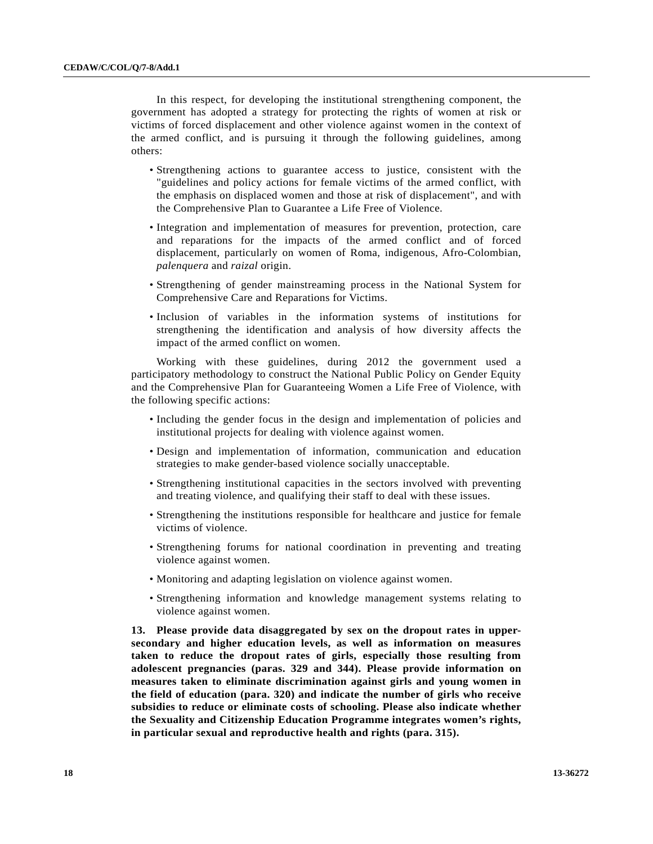In this respect, for developing the institutional strengthening component, the government has adopted a strategy for protecting the rights of women at risk or victims of forced displacement and other violence against women in the context of the armed conflict, and is pursuing it through the following guidelines, among others:

- Strengthening actions to guarantee access to justice, consistent with the "guidelines and policy actions for female victims of the armed conflict, with the emphasis on displaced women and those at risk of displacement", and with the Comprehensive Plan to Guarantee a Life Free of Violence.
- Integration and implementation of measures for prevention, protection, care and reparations for the impacts of the armed conflict and of forced displacement, particularly on women of Roma, indigenous, Afro-Colombian, *palenquera* and *raizal* origin.
- Strengthening of gender mainstreaming process in the National System for Comprehensive Care and Reparations for Victims.
- Inclusion of variables in the information systems of institutions for strengthening the identification and analysis of how diversity affects the impact of the armed conflict on women.

 Working with these guidelines, during 2012 the government used a participatory methodology to construct the National Public Policy on Gender Equity and the Comprehensive Plan for Guaranteeing Women a Life Free of Violence, with the following specific actions:

- Including the gender focus in the design and implementation of policies and institutional projects for dealing with violence against women.
- Design and implementation of information, communication and education strategies to make gender-based violence socially unacceptable.
- Strengthening institutional capacities in the sectors involved with preventing and treating violence, and qualifying their staff to deal with these issues.
- Strengthening the institutions responsible for healthcare and justice for female victims of violence.
- Strengthening forums for national coordination in preventing and treating violence against women.
- Monitoring and adapting legislation on violence against women.
- Strengthening information and knowledge management systems relating to violence against women.

**13. Please provide data disaggregated by sex on the dropout rates in uppersecondary and higher education levels, as well as information on measures taken to reduce the dropout rates of girls, especially those resulting from adolescent pregnancies (paras. 329 and 344). Please provide information on measures taken to eliminate discrimination against girls and young women in the field of education (para. 320) and indicate the number of girls who receive subsidies to reduce or eliminate costs of schooling. Please also indicate whether the Sexuality and Citizenship Education Programme integrates women's rights, in particular sexual and reproductive health and rights (para. 315).**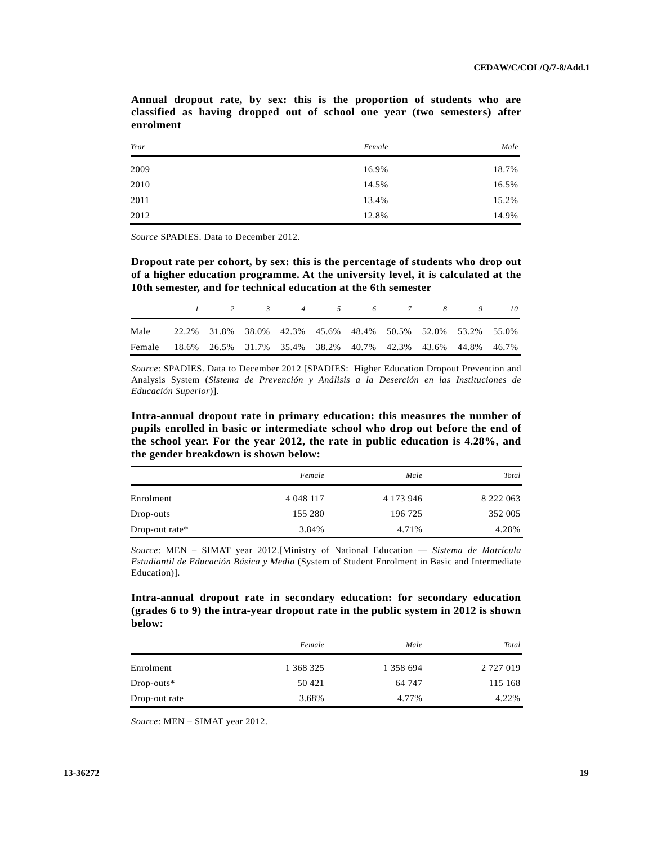| Year | Female | Male  |
|------|--------|-------|
| 2009 | 16.9%  | 18.7% |
| 2010 | 14.5%  | 16.5% |
| 2011 | 13.4%  | 15.2% |
| 2012 | 12.8%  | 14.9% |

**Annual dropout rate, by sex: this is the proportion of students who are classified as having dropped out of school one year (two semesters) after enrolment**

*Source* SPADIES. Data to December 2012.

**Dropout rate per cohort, by sex: this is the percentage of students who drop out of a higher education programme. At the university level, it is calculated at the 10th semester, and for technical education at the 6th semester** 

|                                                                    | $1 \qquad 2 \qquad 3 \qquad 4 \qquad 5 \qquad 6 \qquad 7 \qquad 8 \qquad 9$ |  |  |  | -10 |
|--------------------------------------------------------------------|-----------------------------------------------------------------------------|--|--|--|-----|
| Male                                                               | 22.2% 31.8% 38.0% 42.3% 45.6% 48.4% 50.5% 52.0% 53.2% 55.0%                 |  |  |  |     |
| Female 18.6% 26.5% 31.7% 35.4% 38.2% 40.7% 42.3% 43.6% 44.8% 46.7% |                                                                             |  |  |  |     |

*Source*: SPADIES. Data to December 2012 [SPADIES: Higher Education Dropout Prevention and Analysis System (*Sistema de Prevención y Análisis a la Deserción en las Instituciones de Educación Superior*)].

**Intra-annual dropout rate in primary education: this measures the number of pupils enrolled in basic or intermediate school who drop out before the end of the school year. For the year 2012, the rate in public education is 4.28%, and the gender breakdown is shown below:** 

|                   | Female     | Male          | Total         |
|-------------------|------------|---------------|---------------|
| Enrolment         | 4 0 48 117 | 4 1 7 3 9 4 6 | 8 2 2 2 0 6 3 |
| Drop-outs         | 155 280    | 196 725       | 352 005       |
| Drop-out rate $*$ | 3.84%      | 4.71%         | 4.28%         |

*Source*: MEN – SIMAT year 2012.[Ministry of National Education — *Sistema de Matrícula Estudiantil de Educación Básica y Media* (System of Student Enrolment in Basic and Intermediate Education)].

**Intra-annual dropout rate in secondary education: for secondary education (grades 6 to 9) the intra-year dropout rate in the public system in 2012 is shown below:** 

|               | Female    | Male      | Total         |
|---------------|-----------|-----------|---------------|
| Enrolment     | 1 368 325 | 1 358 694 | 2 7 2 7 0 1 9 |
| $Drop-outs*$  | 50 421    | 64 747    | 115 168       |
| Drop-out rate | 3.68%     | 4.77%     | 4.22%         |

*Source*: MEN – SIMAT year 2012.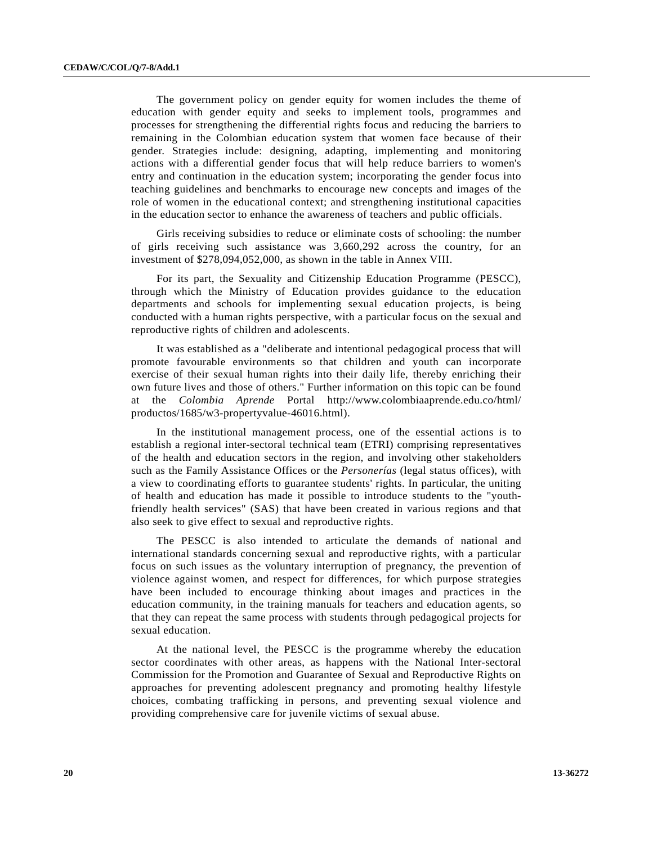The government policy on gender equity for women includes the theme of education with gender equity and seeks to implement tools, programmes and processes for strengthening the differential rights focus and reducing the barriers to remaining in the Colombian education system that women face because of their gender. Strategies include: designing, adapting, implementing and monitoring actions with a differential gender focus that will help reduce barriers to women's entry and continuation in the education system; incorporating the gender focus into teaching guidelines and benchmarks to encourage new concepts and images of the role of women in the educational context; and strengthening institutional capacities in the education sector to enhance the awareness of teachers and public officials.

 Girls receiving subsidies to reduce or eliminate costs of schooling: the number of girls receiving such assistance was 3,660,292 across the country, for an investment of \$278,094,052,000, as shown in the table in Annex VIII.

 For its part, the Sexuality and Citizenship Education Programme (PESCC), through which the Ministry of Education provides guidance to the education departments and schools for implementing sexual education projects, is being conducted with a human rights perspective, with a particular focus on the sexual and reproductive rights of children and adolescents.

 It was established as a "deliberate and intentional pedagogical process that will promote favourable environments so that children and youth can incorporate exercise of their sexual human rights into their daily life, thereby enriching their own future lives and those of others." Further information on this topic can be found at the *Colombia Aprende* Portal http://www.colombiaaprende.edu.co/html/ productos/1685/w3-propertyvalue-46016.html).

 In the institutional management process, one of the essential actions is to establish a regional inter-sectoral technical team (ETRI) comprising representatives of the health and education sectors in the region, and involving other stakeholders such as the Family Assistance Offices or the *Personerías* (legal status offices), with a view to coordinating efforts to guarantee students' rights. In particular, the uniting of health and education has made it possible to introduce students to the "youthfriendly health services" (SAS) that have been created in various regions and that also seek to give effect to sexual and reproductive rights.

 The PESCC is also intended to articulate the demands of national and international standards concerning sexual and reproductive rights, with a particular focus on such issues as the voluntary interruption of pregnancy, the prevention of violence against women, and respect for differences, for which purpose strategies have been included to encourage thinking about images and practices in the education community, in the training manuals for teachers and education agents, so that they can repeat the same process with students through pedagogical projects for sexual education.

 At the national level, the PESCC is the programme whereby the education sector coordinates with other areas, as happens with the National Inter-sectoral Commission for the Promotion and Guarantee of Sexual and Reproductive Rights on approaches for preventing adolescent pregnancy and promoting healthy lifestyle choices, combating trafficking in persons, and preventing sexual violence and providing comprehensive care for juvenile victims of sexual abuse.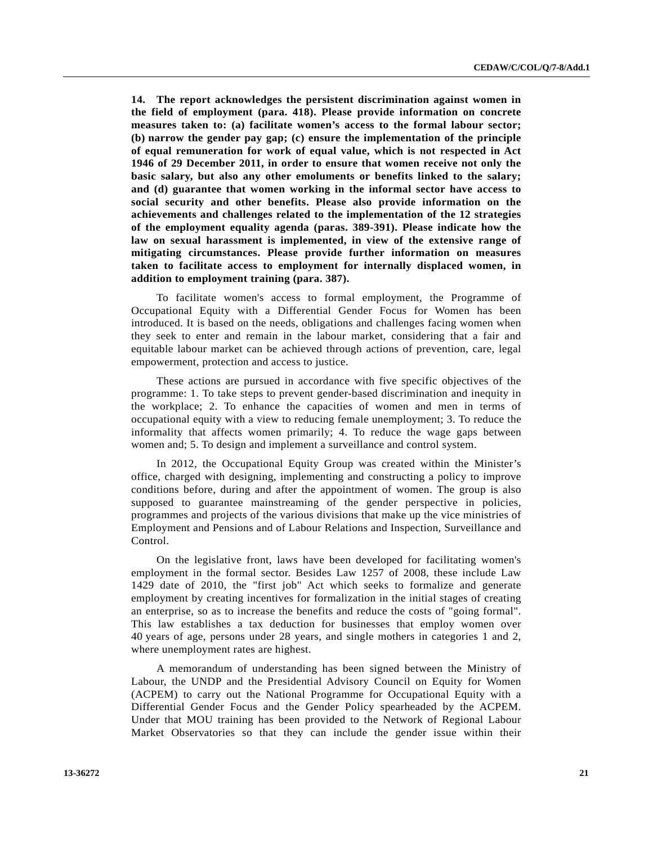**14. The report acknowledges the persistent discrimination against women in the field of employment (para. 418). Please provide information on concrete measures taken to: (a) facilitate women's access to the formal labour sector; (b) narrow the gender pay gap; (c) ensure the implementation of the principle of equal remuneration for work of equal value, which is not respected in Act 1946 of 29 December 2011, in order to ensure that women receive not only the basic salary, but also any other emoluments or benefits linked to the salary; and (d) guarantee that women working in the informal sector have access to social security and other benefits. Please also provide information on the achievements and challenges related to the implementation of the 12 strategies of the employment equality agenda (paras. 389-391). Please indicate how the law on sexual harassment is implemented, in view of the extensive range of mitigating circumstances. Please provide further information on measures taken to facilitate access to employment for internally displaced women, in addition to employment training (para. 387).** 

 To facilitate women's access to formal employment, the Programme of Occupational Equity with a Differential Gender Focus for Women has been introduced. It is based on the needs, obligations and challenges facing women when they seek to enter and remain in the labour market, considering that a fair and equitable labour market can be achieved through actions of prevention, care, legal empowerment, protection and access to justice.

 These actions are pursued in accordance with five specific objectives of the programme: 1. To take steps to prevent gender-based discrimination and inequity in the workplace; 2. To enhance the capacities of women and men in terms of occupational equity with a view to reducing female unemployment; 3. To reduce the informality that affects women primarily; 4. To reduce the wage gaps between women and; 5. To design and implement a surveillance and control system.

 In 2012, the Occupational Equity Group was created within the Minister's office, charged with designing, implementing and constructing a policy to improve conditions before, during and after the appointment of women. The group is also supposed to guarantee mainstreaming of the gender perspective in policies, programmes and projects of the various divisions that make up the vice ministries of Employment and Pensions and of Labour Relations and Inspection, Surveillance and Control.

 On the legislative front, laws have been developed for facilitating women's employment in the formal sector. Besides Law 1257 of 2008, these include Law 1429 date of 2010, the "first job" Act which seeks to formalize and generate employment by creating incentives for formalization in the initial stages of creating an enterprise, so as to increase the benefits and reduce the costs of "going formal". This law establishes a tax deduction for businesses that employ women over 40 years of age, persons under 28 years, and single mothers in categories 1 and 2, where unemployment rates are highest.

 A memorandum of understanding has been signed between the Ministry of Labour, the UNDP and the Presidential Advisory Council on Equity for Women (ACPEM) to carry out the National Programme for Occupational Equity with a Differential Gender Focus and the Gender Policy spearheaded by the ACPEM. Under that MOU training has been provided to the Network of Regional Labour Market Observatories so that they can include the gender issue within their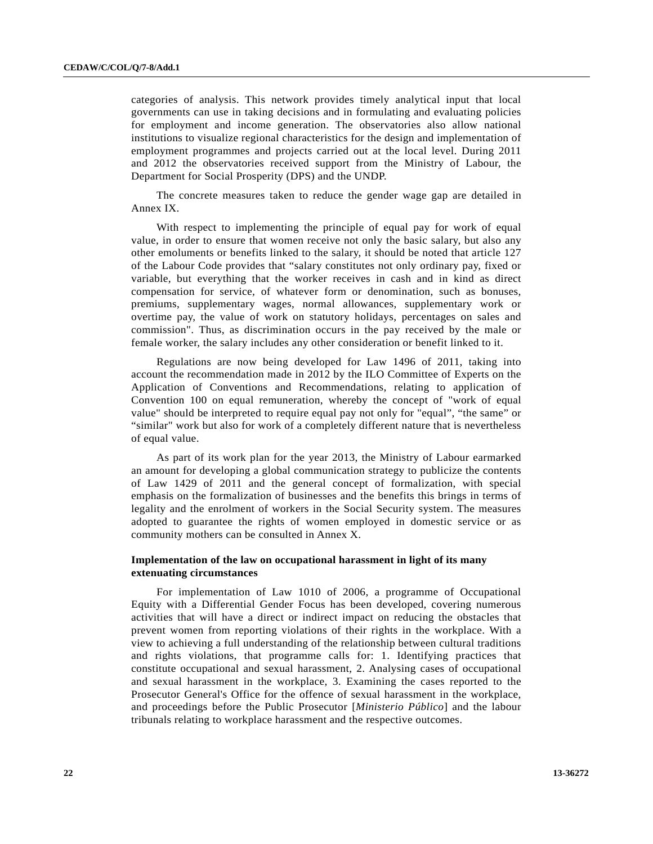categories of analysis. This network provides timely analytical input that local governments can use in taking decisions and in formulating and evaluating policies for employment and income generation. The observatories also allow national institutions to visualize regional characteristics for the design and implementation of employment programmes and projects carried out at the local level. During 2011 and 2012 the observatories received support from the Ministry of Labour, the Department for Social Prosperity (DPS) and the UNDP.

 The concrete measures taken to reduce the gender wage gap are detailed in Annex IX.

 With respect to implementing the principle of equal pay for work of equal value, in order to ensure that women receive not only the basic salary, but also any other emoluments or benefits linked to the salary, it should be noted that article 127 of the Labour Code provides that "salary constitutes not only ordinary pay, fixed or variable, but everything that the worker receives in cash and in kind as direct compensation for service, of whatever form or denomination, such as bonuses, premiums, supplementary wages, normal allowances, supplementary work or overtime pay, the value of work on statutory holidays, percentages on sales and commission". Thus, as discrimination occurs in the pay received by the male or female worker, the salary includes any other consideration or benefit linked to it.

 Regulations are now being developed for Law 1496 of 2011, taking into account the recommendation made in 2012 by the ILO Committee of Experts on the Application of Conventions and Recommendations, relating to application of Convention 100 on equal remuneration, whereby the concept of "work of equal value" should be interpreted to require equal pay not only for "equal", "the same" or "similar" work but also for work of a completely different nature that is nevertheless of equal value.

 As part of its work plan for the year 2013, the Ministry of Labour earmarked an amount for developing a global communication strategy to publicize the contents of Law 1429 of 2011 and the general concept of formalization, with special emphasis on the formalization of businesses and the benefits this brings in terms of legality and the enrolment of workers in the Social Security system. The measures adopted to guarantee the rights of women employed in domestic service or as community mothers can be consulted in Annex X.

## **Implementation of the law on occupational harassment in light of its many extenuating circumstances**

 For implementation of Law 1010 of 2006, a programme of Occupational Equity with a Differential Gender Focus has been developed, covering numerous activities that will have a direct or indirect impact on reducing the obstacles that prevent women from reporting violations of their rights in the workplace. With a view to achieving a full understanding of the relationship between cultural traditions and rights violations, that programme calls for: 1. Identifying practices that constitute occupational and sexual harassment, 2. Analysing cases of occupational and sexual harassment in the workplace, 3. Examining the cases reported to the Prosecutor General's Office for the offence of sexual harassment in the workplace, and proceedings before the Public Prosecutor [*Ministerio Público*] and the labour tribunals relating to workplace harassment and the respective outcomes.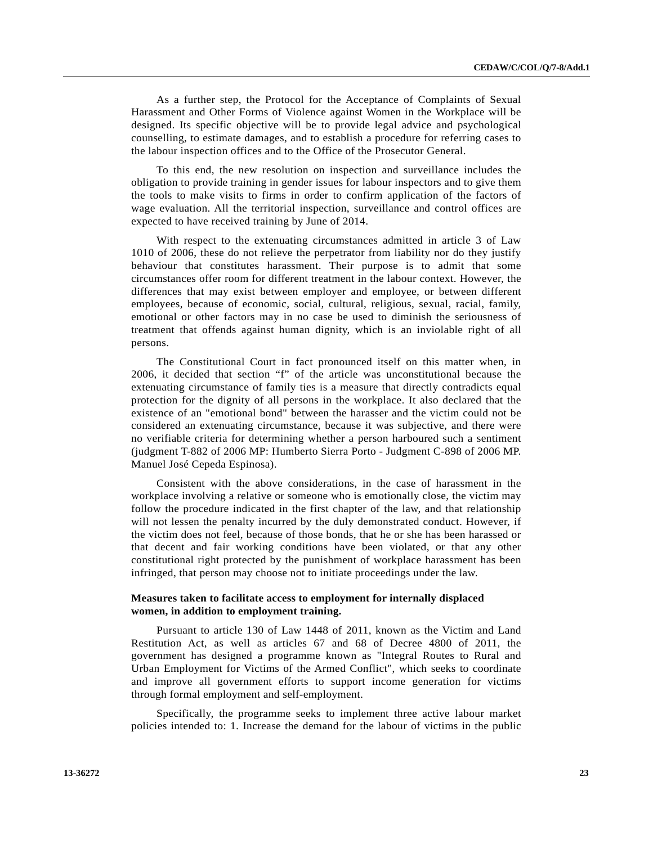As a further step, the Protocol for the Acceptance of Complaints of Sexual Harassment and Other Forms of Violence against Women in the Workplace will be designed. Its specific objective will be to provide legal advice and psychological counselling, to estimate damages, and to establish a procedure for referring cases to the labour inspection offices and to the Office of the Prosecutor General.

 To this end, the new resolution on inspection and surveillance includes the obligation to provide training in gender issues for labour inspectors and to give them the tools to make visits to firms in order to confirm application of the factors of wage evaluation. All the territorial inspection, surveillance and control offices are expected to have received training by June of 2014.

 With respect to the extenuating circumstances admitted in article 3 of Law 1010 of 2006, these do not relieve the perpetrator from liability nor do they justify behaviour that constitutes harassment. Their purpose is to admit that some circumstances offer room for different treatment in the labour context. However, the differences that may exist between employer and employee, or between different employees, because of economic, social, cultural, religious, sexual, racial, family, emotional or other factors may in no case be used to diminish the seriousness of treatment that offends against human dignity, which is an inviolable right of all persons.

 The Constitutional Court in fact pronounced itself on this matter when, in 2006, it decided that section "f" of the article was unconstitutional because the extenuating circumstance of family ties is a measure that directly contradicts equal protection for the dignity of all persons in the workplace. It also declared that the existence of an "emotional bond" between the harasser and the victim could not be considered an extenuating circumstance, because it was subjective, and there were no verifiable criteria for determining whether a person harboured such a sentiment (judgment T-882 of 2006 MP: Humberto Sierra Porto - Judgment C-898 of 2006 MP. Manuel José Cepeda Espinosa).

 Consistent with the above considerations, in the case of harassment in the workplace involving a relative or someone who is emotionally close, the victim may follow the procedure indicated in the first chapter of the law, and that relationship will not lessen the penalty incurred by the duly demonstrated conduct. However, if the victim does not feel, because of those bonds, that he or she has been harassed or that decent and fair working conditions have been violated, or that any other constitutional right protected by the punishment of workplace harassment has been infringed, that person may choose not to initiate proceedings under the law.

## **Measures taken to facilitate access to employment for internally displaced women, in addition to employment training.**

 Pursuant to article 130 of Law 1448 of 2011, known as the Victim and Land Restitution Act, as well as articles 67 and 68 of Decree 4800 of 2011, the government has designed a programme known as "Integral Routes to Rural and Urban Employment for Victims of the Armed Conflict", which seeks to coordinate and improve all government efforts to support income generation for victims through formal employment and self-employment.

 Specifically, the programme seeks to implement three active labour market policies intended to: 1. Increase the demand for the labour of victims in the public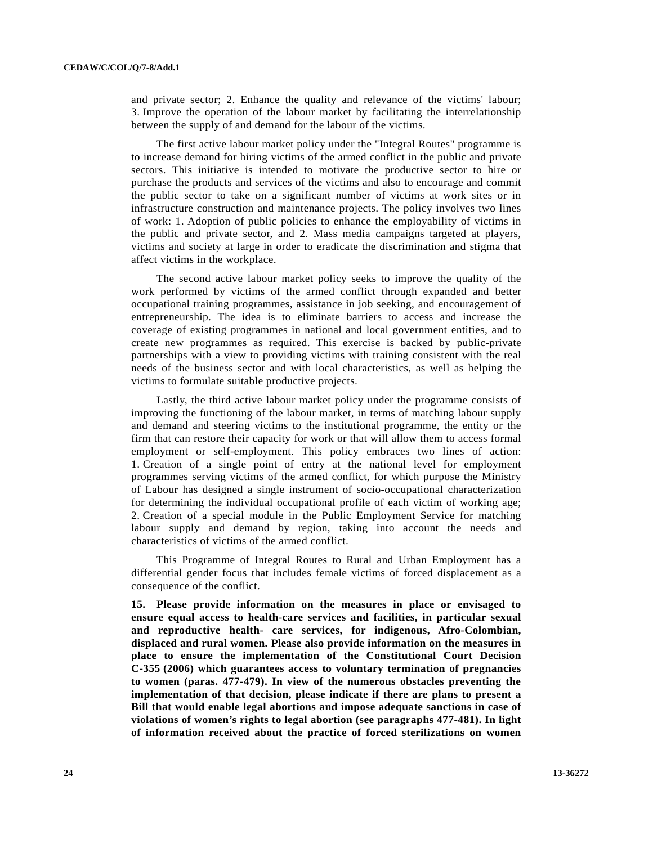and private sector; 2. Enhance the quality and relevance of the victims' labour; 3. Improve the operation of the labour market by facilitating the interrelationship between the supply of and demand for the labour of the victims.

 The first active labour market policy under the "Integral Routes" programme is to increase demand for hiring victims of the armed conflict in the public and private sectors. This initiative is intended to motivate the productive sector to hire or purchase the products and services of the victims and also to encourage and commit the public sector to take on a significant number of victims at work sites or in infrastructure construction and maintenance projects. The policy involves two lines of work: 1. Adoption of public policies to enhance the employability of victims in the public and private sector, and 2. Mass media campaigns targeted at players, victims and society at large in order to eradicate the discrimination and stigma that affect victims in the workplace.

 The second active labour market policy seeks to improve the quality of the work performed by victims of the armed conflict through expanded and better occupational training programmes, assistance in job seeking, and encouragement of entrepreneurship. The idea is to eliminate barriers to access and increase the coverage of existing programmes in national and local government entities, and to create new programmes as required. This exercise is backed by public-private partnerships with a view to providing victims with training consistent with the real needs of the business sector and with local characteristics, as well as helping the victims to formulate suitable productive projects.

 Lastly, the third active labour market policy under the programme consists of improving the functioning of the labour market, in terms of matching labour supply and demand and steering victims to the institutional programme, the entity or the firm that can restore their capacity for work or that will allow them to access formal employment or self-employment. This policy embraces two lines of action: 1. Creation of a single point of entry at the national level for employment programmes serving victims of the armed conflict, for which purpose the Ministry of Labour has designed a single instrument of socio-occupational characterization for determining the individual occupational profile of each victim of working age; 2. Creation of a special module in the Public Employment Service for matching labour supply and demand by region, taking into account the needs and characteristics of victims of the armed conflict.

 This Programme of Integral Routes to Rural and Urban Employment has a differential gender focus that includes female victims of forced displacement as a consequence of the conflict.

**15. Please provide information on the measures in place or envisaged to ensure equal access to health-care services and facilities, in particular sexual and reproductive health- care services, for indigenous, Afro-Colombian, displaced and rural women. Please also provide information on the measures in place to ensure the implementation of the Constitutional Court Decision C-355 (2006) which guarantees access to voluntary termination of pregnancies to women (paras. 477-479). In view of the numerous obstacles preventing the implementation of that decision, please indicate if there are plans to present a Bill that would enable legal abortions and impose adequate sanctions in case of violations of women's rights to legal abortion (see paragraphs 477-481). In light of information received about the practice of forced sterilizations on women**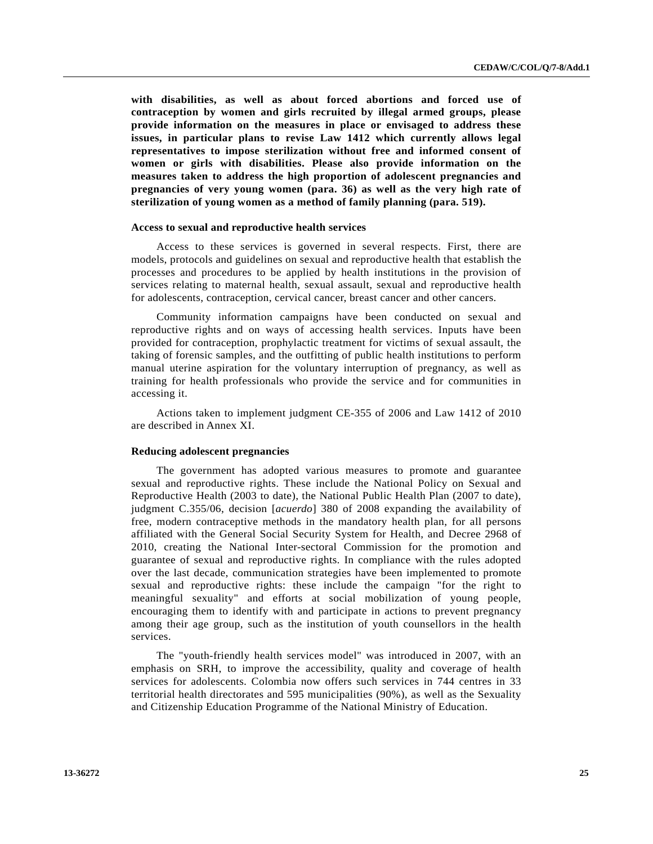**with disabilities, as well as about forced abortions and forced use of contraception by women and girls recruited by illegal armed groups, please provide information on the measures in place or envisaged to address these issues, in particular plans to revise Law 1412 which currently allows legal representatives to impose sterilization without free and informed consent of women or girls with disabilities. Please also provide information on the measures taken to address the high proportion of adolescent pregnancies and pregnancies of very young women (para. 36) as well as the very high rate of sterilization of young women as a method of family planning (para. 519).** 

#### **Access to sexual and reproductive health services**

 Access to these services is governed in several respects. First, there are models, protocols and guidelines on sexual and reproductive health that establish the processes and procedures to be applied by health institutions in the provision of services relating to maternal health, sexual assault, sexual and reproductive health for adolescents, contraception, cervical cancer, breast cancer and other cancers.

 Community information campaigns have been conducted on sexual and reproductive rights and on ways of accessing health services. Inputs have been provided for contraception, prophylactic treatment for victims of sexual assault, the taking of forensic samples, and the outfitting of public health institutions to perform manual uterine aspiration for the voluntary interruption of pregnancy, as well as training for health professionals who provide the service and for communities in accessing it.

 Actions taken to implement judgment CE-355 of 2006 and Law 1412 of 2010 are described in Annex XI.

### **Reducing adolescent pregnancies**

 The government has adopted various measures to promote and guarantee sexual and reproductive rights. These include the National Policy on Sexual and Reproductive Health (2003 to date), the National Public Health Plan (2007 to date), judgment C.355/06, decision [*acuerdo*] 380 of 2008 expanding the availability of free, modern contraceptive methods in the mandatory health plan, for all persons affiliated with the General Social Security System for Health, and Decree 2968 of 2010, creating the National Inter-sectoral Commission for the promotion and guarantee of sexual and reproductive rights. In compliance with the rules adopted over the last decade, communication strategies have been implemented to promote sexual and reproductive rights: these include the campaign "for the right to meaningful sexuality" and efforts at social mobilization of young people, encouraging them to identify with and participate in actions to prevent pregnancy among their age group, such as the institution of youth counsellors in the health services.

 The "youth-friendly health services model" was introduced in 2007, with an emphasis on SRH, to improve the accessibility, quality and coverage of health services for adolescents. Colombia now offers such services in 744 centres in 33 territorial health directorates and 595 municipalities (90%), as well as the Sexuality and Citizenship Education Programme of the National Ministry of Education.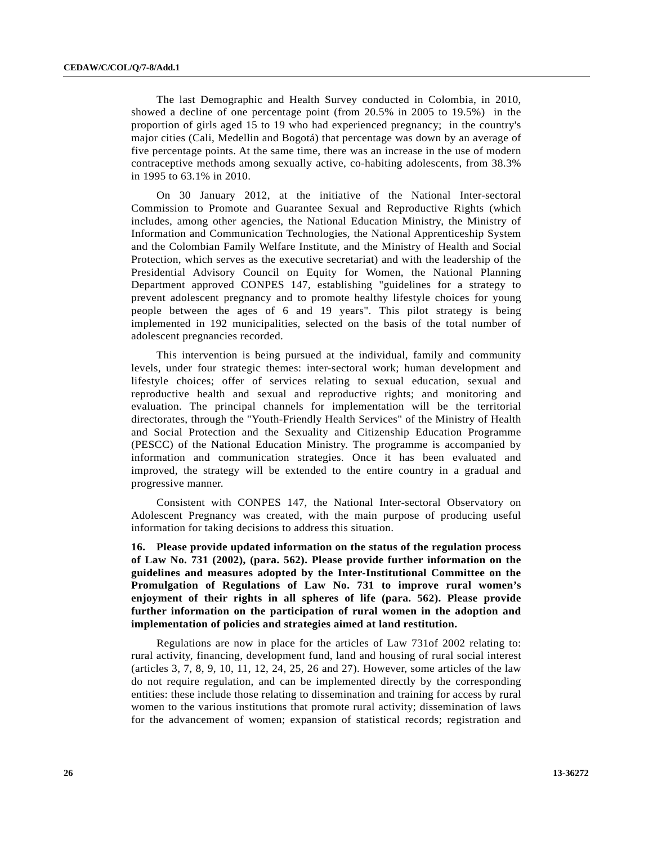The last Demographic and Health Survey conducted in Colombia, in 2010, showed a decline of one percentage point (from 20.5% in 2005 to 19.5%) in the proportion of girls aged 15 to 19 who had experienced pregnancy; in the country's major cities (Cali, Medellin and Bogotá) that percentage was down by an average of five percentage points. At the same time, there was an increase in the use of modern contraceptive methods among sexually active, co-habiting adolescents, from 38.3% in 1995 to 63.1% in 2010.

 On 30 January 2012, at the initiative of the National Inter-sectoral Commission to Promote and Guarantee Sexual and Reproductive Rights (which includes, among other agencies, the National Education Ministry, the Ministry of Information and Communication Technologies, the National Apprenticeship System and the Colombian Family Welfare Institute, and the Ministry of Health and Social Protection, which serves as the executive secretariat) and with the leadership of the Presidential Advisory Council on Equity for Women, the National Planning Department approved CONPES 147, establishing "guidelines for a strategy to prevent adolescent pregnancy and to promote healthy lifestyle choices for young people between the ages of 6 and 19 years". This pilot strategy is being implemented in 192 municipalities, selected on the basis of the total number of adolescent pregnancies recorded.

 This intervention is being pursued at the individual, family and community levels, under four strategic themes: inter-sectoral work; human development and lifestyle choices; offer of services relating to sexual education, sexual and reproductive health and sexual and reproductive rights; and monitoring and evaluation. The principal channels for implementation will be the territorial directorates, through the "Youth-Friendly Health Services" of the Ministry of Health and Social Protection and the Sexuality and Citizenship Education Programme (PESCC) of the National Education Ministry. The programme is accompanied by information and communication strategies. Once it has been evaluated and improved, the strategy will be extended to the entire country in a gradual and progressive manner.

 Consistent with CONPES 147, the National Inter-sectoral Observatory on Adolescent Pregnancy was created, with the main purpose of producing useful information for taking decisions to address this situation.

**16. Please provide updated information on the status of the regulation process of Law No. 731 (2002), (para. 562). Please provide further information on the guidelines and measures adopted by the Inter-Institutional Committee on the Promulgation of Regulations of Law No. 731 to improve rural women's enjoyment of their rights in all spheres of life (para. 562). Please provide further information on the participation of rural women in the adoption and implementation of policies and strategies aimed at land restitution.** 

 Regulations are now in place for the articles of Law 731of 2002 relating to: rural activity, financing, development fund, land and housing of rural social interest (articles 3, 7, 8, 9, 10, 11, 12, 24, 25, 26 and 27). However, some articles of the law do not require regulation, and can be implemented directly by the corresponding entities: these include those relating to dissemination and training for access by rural women to the various institutions that promote rural activity; dissemination of laws for the advancement of women; expansion of statistical records; registration and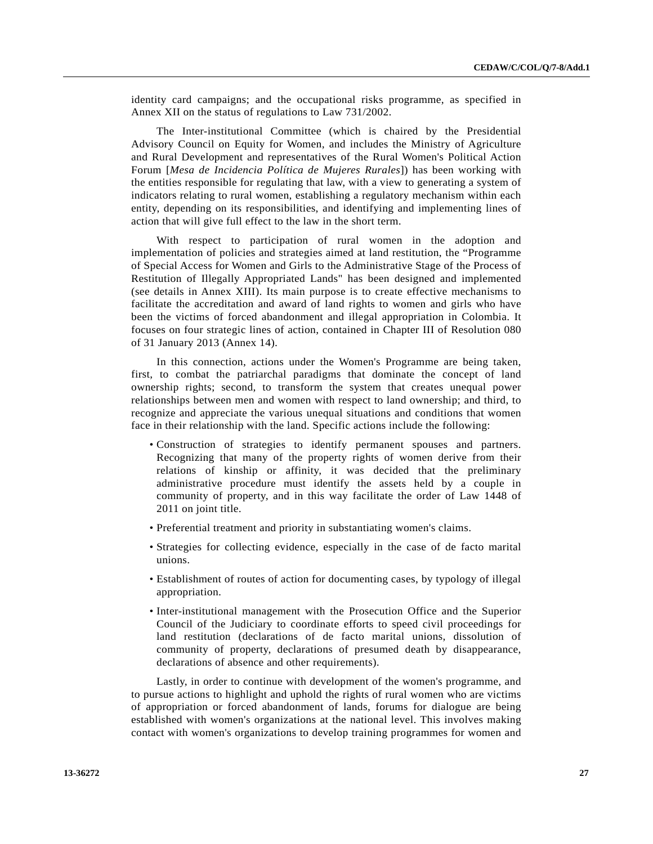identity card campaigns; and the occupational risks programme, as specified in Annex XII on the status of regulations to Law 731/2002.

 The Inter-institutional Committee (which is chaired by the Presidential Advisory Council on Equity for Women, and includes the Ministry of Agriculture and Rural Development and representatives of the Rural Women's Political Action Forum [*Mesa de Incidencia Política de Mujeres Rurales*]) has been working with the entities responsible for regulating that law, with a view to generating a system of indicators relating to rural women, establishing a regulatory mechanism within each entity, depending on its responsibilities, and identifying and implementing lines of action that will give full effect to the law in the short term.

 With respect to participation of rural women in the adoption and implementation of policies and strategies aimed at land restitution, the "Programme of Special Access for Women and Girls to the Administrative Stage of the Process of Restitution of Illegally Appropriated Lands" has been designed and implemented (see details in Annex XIII). Its main purpose is to create effective mechanisms to facilitate the accreditation and award of land rights to women and girls who have been the victims of forced abandonment and illegal appropriation in Colombia. It focuses on four strategic lines of action, contained in Chapter III of Resolution 080 of 31 January 2013 (Annex 14).

 In this connection, actions under the Women's Programme are being taken, first, to combat the patriarchal paradigms that dominate the concept of land ownership rights; second, to transform the system that creates unequal power relationships between men and women with respect to land ownership; and third, to recognize and appreciate the various unequal situations and conditions that women face in their relationship with the land. Specific actions include the following:

- Construction of strategies to identify permanent spouses and partners. Recognizing that many of the property rights of women derive from their relations of kinship or affinity, it was decided that the preliminary administrative procedure must identify the assets held by a couple in community of property, and in this way facilitate the order of Law 1448 of 2011 on joint title.
- Preferential treatment and priority in substantiating women's claims.
- Strategies for collecting evidence, especially in the case of de facto marital unions.
- Establishment of routes of action for documenting cases, by typology of illegal appropriation.
- Inter-institutional management with the Prosecution Office and the Superior Council of the Judiciary to coordinate efforts to speed civil proceedings for land restitution (declarations of de facto marital unions, dissolution of community of property, declarations of presumed death by disappearance, declarations of absence and other requirements).

 Lastly, in order to continue with development of the women's programme, and to pursue actions to highlight and uphold the rights of rural women who are victims of appropriation or forced abandonment of lands, forums for dialogue are being established with women's organizations at the national level. This involves making contact with women's organizations to develop training programmes for women and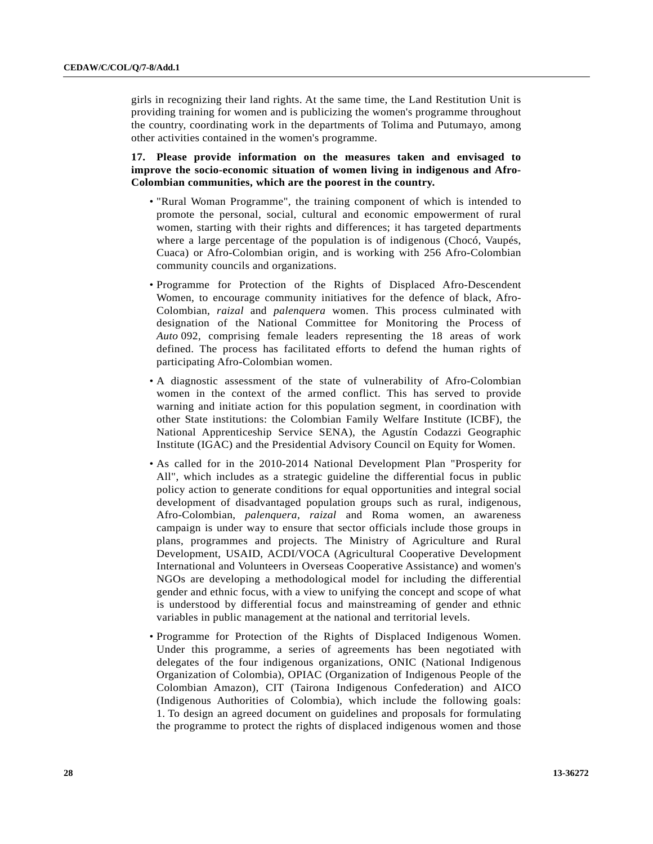girls in recognizing their land rights. At the same time, the Land Restitution Unit is providing training for women and is publicizing the women's programme throughout the country, coordinating work in the departments of Tolima and Putumayo, among other activities contained in the women's programme.

## **17. Please provide information on the measures taken and envisaged to improve the socio-economic situation of women living in indigenous and Afro-Colombian communities, which are the poorest in the country.**

- "Rural Woman Programme", the training component of which is intended to promote the personal, social, cultural and economic empowerment of rural women, starting with their rights and differences; it has targeted departments where a large percentage of the population is of indigenous (Chocó, Vaupés, Cuaca) or Afro-Colombian origin, and is working with 256 Afro-Colombian community councils and organizations.
- Programme for Protection of the Rights of Displaced Afro-Descendent Women, to encourage community initiatives for the defence of black, Afro-Colombian, *raizal* and *palenquera* women. This process culminated with designation of the National Committee for Monitoring the Process of *Auto* 092, comprising female leaders representing the 18 areas of work defined. The process has facilitated efforts to defend the human rights of participating Afro-Colombian women.
- A diagnostic assessment of the state of vulnerability of Afro-Colombian women in the context of the armed conflict. This has served to provide warning and initiate action for this population segment, in coordination with other State institutions: the Colombian Family Welfare Institute (ICBF), the National Apprenticeship Service SENA), the Agustín Codazzi Geographic Institute (IGAC) and the Presidential Advisory Council on Equity for Women.
- As called for in the 2010-2014 National Development Plan "Prosperity for All", which includes as a strategic guideline the differential focus in public policy action to generate conditions for equal opportunities and integral social development of disadvantaged population groups such as rural, indigenous, Afro-Colombian, *palenquera*, *raizal* and Roma women, an awareness campaign is under way to ensure that sector officials include those groups in plans, programmes and projects. The Ministry of Agriculture and Rural Development, USAID, ACDI/VOCA (Agricultural Cooperative Development International and Volunteers in Overseas Cooperative Assistance) and women's NGOs are developing a methodological model for including the differential gender and ethnic focus, with a view to unifying the concept and scope of what is understood by differential focus and mainstreaming of gender and ethnic variables in public management at the national and territorial levels.
- Programme for Protection of the Rights of Displaced Indigenous Women. Under this programme, a series of agreements has been negotiated with delegates of the four indigenous organizations, ONIC (National Indigenous Organization of Colombia), OPIAC (Organization of Indigenous People of the Colombian Amazon), CIT (Tairona Indigenous Confederation) and AICO (Indigenous Authorities of Colombia), which include the following goals: 1. To design an agreed document on guidelines and proposals for formulating the programme to protect the rights of displaced indigenous women and those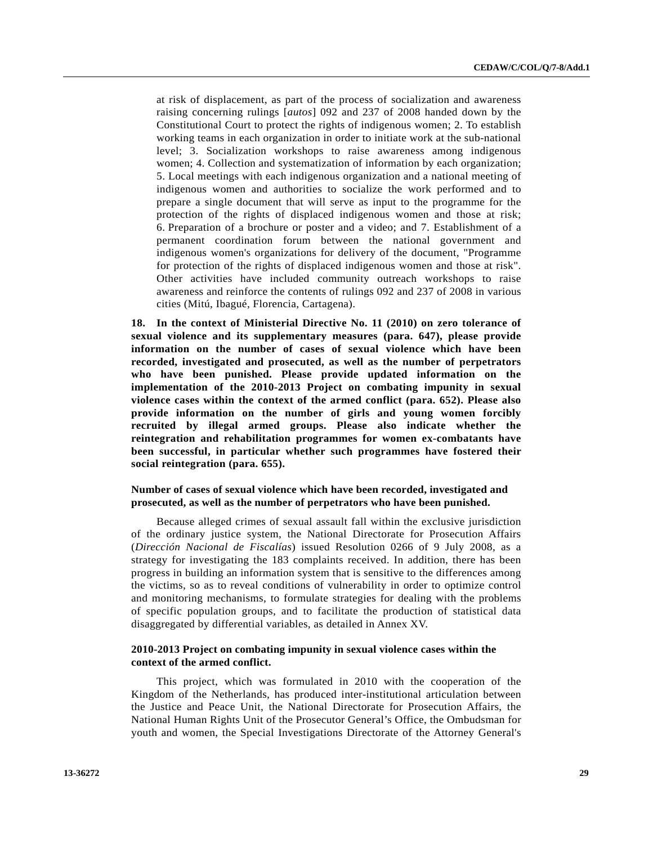at risk of displacement, as part of the process of socialization and awareness raising concerning rulings [*autos*] 092 and 237 of 2008 handed down by the Constitutional Court to protect the rights of indigenous women; 2. To establish working teams in each organization in order to initiate work at the sub-national level; 3. Socialization workshops to raise awareness among indigenous women; 4. Collection and systematization of information by each organization; 5. Local meetings with each indigenous organization and a national meeting of indigenous women and authorities to socialize the work performed and to prepare a single document that will serve as input to the programme for the protection of the rights of displaced indigenous women and those at risk; 6. Preparation of a brochure or poster and a video; and 7. Establishment of a permanent coordination forum between the national government and indigenous women's organizations for delivery of the document, "Programme for protection of the rights of displaced indigenous women and those at risk". Other activities have included community outreach workshops to raise awareness and reinforce the contents of rulings 092 and 237 of 2008 in various cities (Mitú, Ibagué, Florencia, Cartagena).

**18. In the context of Ministerial Directive No. 11 (2010) on zero tolerance of sexual violence and its supplementary measures (para. 647), please provide information on the number of cases of sexual violence which have been recorded, investigated and prosecuted, as well as the number of perpetrators who have been punished. Please provide updated information on the implementation of the 2010-2013 Project on combating impunity in sexual violence cases within the context of the armed conflict (para. 652). Please also provide information on the number of girls and young women forcibly recruited by illegal armed groups. Please also indicate whether the reintegration and rehabilitation programmes for women ex-combatants have been successful, in particular whether such programmes have fostered their social reintegration (para. 655).** 

## **Number of cases of sexual violence which have been recorded, investigated and prosecuted, as well as the number of perpetrators who have been punished.**

 Because alleged crimes of sexual assault fall within the exclusive jurisdiction of the ordinary justice system, the National Directorate for Prosecution Affairs (*Dirección Nacional de Fiscalías*) issued Resolution 0266 of 9 July 2008, as a strategy for investigating the 183 complaints received. In addition, there has been progress in building an information system that is sensitive to the differences among the victims, so as to reveal conditions of vulnerability in order to optimize control and monitoring mechanisms, to formulate strategies for dealing with the problems of specific population groups, and to facilitate the production of statistical data disaggregated by differential variables, as detailed in Annex XV.

## **2010-2013 Project on combating impunity in sexual violence cases within the context of the armed conflict.**

 This project, which was formulated in 2010 with the cooperation of the Kingdom of the Netherlands, has produced inter-institutional articulation between the Justice and Peace Unit, the National Directorate for Prosecution Affairs, the National Human Rights Unit of the Prosecutor General's Office, the Ombudsman for youth and women, the Special Investigations Directorate of the Attorney General's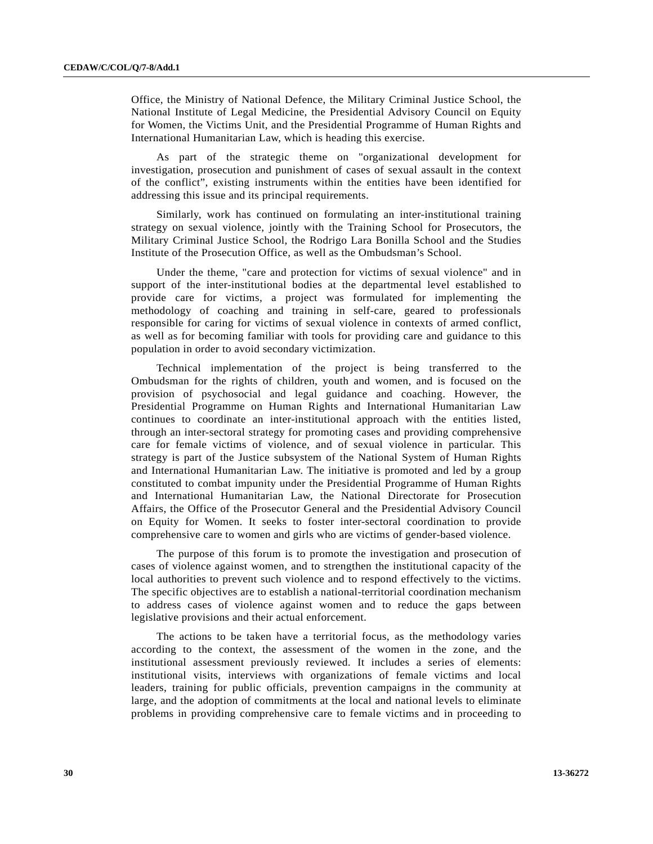Office, the Ministry of National Defence, the Military Criminal Justice School, the National Institute of Legal Medicine, the Presidential Advisory Council on Equity for Women, the Victims Unit, and the Presidential Programme of Human Rights and International Humanitarian Law, which is heading this exercise.

 As part of the strategic theme on "organizational development for investigation, prosecution and punishment of cases of sexual assault in the context of the conflict", existing instruments within the entities have been identified for addressing this issue and its principal requirements.

 Similarly, work has continued on formulating an inter-institutional training strategy on sexual violence, jointly with the Training School for Prosecutors, the Military Criminal Justice School, the Rodrigo Lara Bonilla School and the Studies Institute of the Prosecution Office, as well as the Ombudsman's School.

 Under the theme, "care and protection for victims of sexual violence" and in support of the inter-institutional bodies at the departmental level established to provide care for victims, a project was formulated for implementing the methodology of coaching and training in self-care, geared to professionals responsible for caring for victims of sexual violence in contexts of armed conflict, as well as for becoming familiar with tools for providing care and guidance to this population in order to avoid secondary victimization.

 Technical implementation of the project is being transferred to the Ombudsman for the rights of children, youth and women, and is focused on the provision of psychosocial and legal guidance and coaching. However, the Presidential Programme on Human Rights and International Humanitarian Law continues to coordinate an inter-institutional approach with the entities listed, through an inter-sectoral strategy for promoting cases and providing comprehensive care for female victims of violence, and of sexual violence in particular. This strategy is part of the Justice subsystem of the National System of Human Rights and International Humanitarian Law. The initiative is promoted and led by a group constituted to combat impunity under the Presidential Programme of Human Rights and International Humanitarian Law, the National Directorate for Prosecution Affairs, the Office of the Prosecutor General and the Presidential Advisory Council on Equity for Women. It seeks to foster inter-sectoral coordination to provide comprehensive care to women and girls who are victims of gender-based violence.

 The purpose of this forum is to promote the investigation and prosecution of cases of violence against women, and to strengthen the institutional capacity of the local authorities to prevent such violence and to respond effectively to the victims. The specific objectives are to establish a national-territorial coordination mechanism to address cases of violence against women and to reduce the gaps between legislative provisions and their actual enforcement.

 The actions to be taken have a territorial focus, as the methodology varies according to the context, the assessment of the women in the zone, and the institutional assessment previously reviewed. It includes a series of elements: institutional visits, interviews with organizations of female victims and local leaders, training for public officials, prevention campaigns in the community at large, and the adoption of commitments at the local and national levels to eliminate problems in providing comprehensive care to female victims and in proceeding to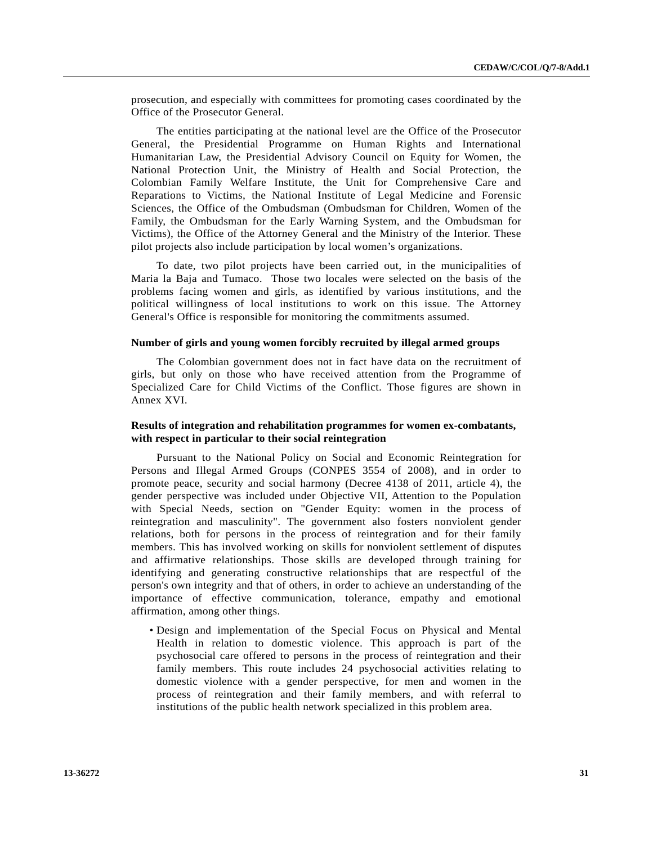prosecution, and especially with committees for promoting cases coordinated by the Office of the Prosecutor General.

 The entities participating at the national level are the Office of the Prosecutor General, the Presidential Programme on Human Rights and International Humanitarian Law, the Presidential Advisory Council on Equity for Women, the National Protection Unit, the Ministry of Health and Social Protection, the Colombian Family Welfare Institute, the Unit for Comprehensive Care and Reparations to Victims, the National Institute of Legal Medicine and Forensic Sciences, the Office of the Ombudsman (Ombudsman for Children, Women of the Family, the Ombudsman for the Early Warning System, and the Ombudsman for Victims), the Office of the Attorney General and the Ministry of the Interior. These pilot projects also include participation by local women's organizations.

 To date, two pilot projects have been carried out, in the municipalities of Maria la Baja and Tumaco. Those two locales were selected on the basis of the problems facing women and girls, as identified by various institutions, and the political willingness of local institutions to work on this issue. The Attorney General's Office is responsible for monitoring the commitments assumed.

### **Number of girls and young women forcibly recruited by illegal armed groups**

 The Colombian government does not in fact have data on the recruitment of girls, but only on those who have received attention from the Programme of Specialized Care for Child Victims of the Conflict. Those figures are shown in Annex XVI.

## **Results of integration and rehabilitation programmes for women ex-combatants, with respect in particular to their social reintegration**

 Pursuant to the National Policy on Social and Economic Reintegration for Persons and Illegal Armed Groups (CONPES 3554 of 2008), and in order to promote peace, security and social harmony (Decree 4138 of 2011, article 4), the gender perspective was included under Objective VII, Attention to the Population with Special Needs, section on "Gender Equity: women in the process of reintegration and masculinity". The government also fosters nonviolent gender relations, both for persons in the process of reintegration and for their family members. This has involved working on skills for nonviolent settlement of disputes and affirmative relationships. Those skills are developed through training for identifying and generating constructive relationships that are respectful of the person's own integrity and that of others, in order to achieve an understanding of the importance of effective communication, tolerance, empathy and emotional affirmation, among other things.

 • Design and implementation of the Special Focus on Physical and Mental Health in relation to domestic violence. This approach is part of the psychosocial care offered to persons in the process of reintegration and their family members. This route includes 24 psychosocial activities relating to domestic violence with a gender perspective, for men and women in the process of reintegration and their family members, and with referral to institutions of the public health network specialized in this problem area.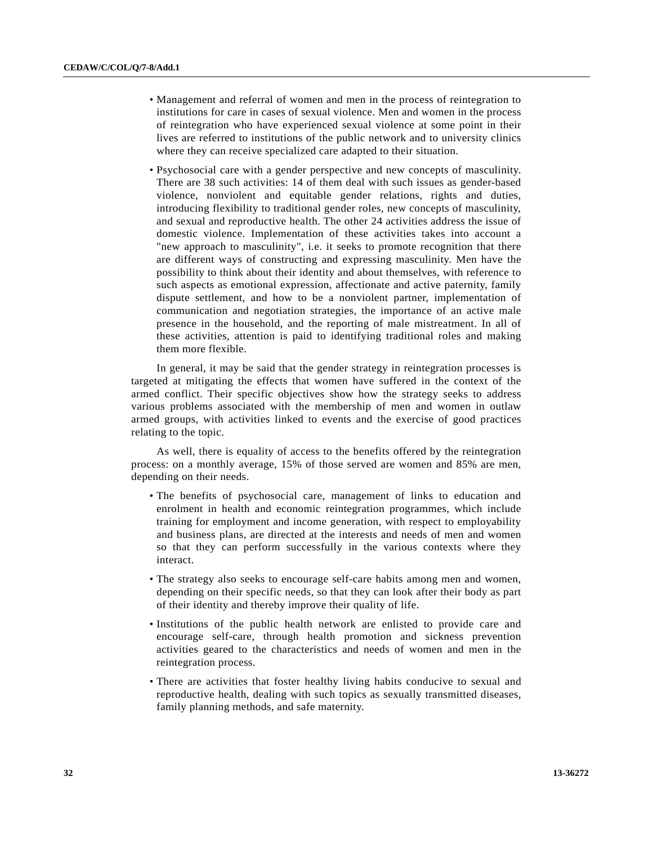- Management and referral of women and men in the process of reintegration to institutions for care in cases of sexual violence. Men and women in the process of reintegration who have experienced sexual violence at some point in their lives are referred to institutions of the public network and to university clinics where they can receive specialized care adapted to their situation.
- Psychosocial care with a gender perspective and new concepts of masculinity. There are 38 such activities: 14 of them deal with such issues as gender-based violence, nonviolent and equitable gender relations, rights and duties, introducing flexibility to traditional gender roles, new concepts of masculinity, and sexual and reproductive health. The other 24 activities address the issue of domestic violence. Implementation of these activities takes into account a "new approach to masculinity", i.e. it seeks to promote recognition that there are different ways of constructing and expressing masculinity. Men have the possibility to think about their identity and about themselves, with reference to such aspects as emotional expression, affectionate and active paternity, family dispute settlement, and how to be a nonviolent partner, implementation of communication and negotiation strategies, the importance of an active male presence in the household, and the reporting of male mistreatment. In all of these activities, attention is paid to identifying traditional roles and making them more flexible.

 In general, it may be said that the gender strategy in reintegration processes is targeted at mitigating the effects that women have suffered in the context of the armed conflict. Their specific objectives show how the strategy seeks to address various problems associated with the membership of men and women in outlaw armed groups, with activities linked to events and the exercise of good practices relating to the topic.

 As well, there is equality of access to the benefits offered by the reintegration process: on a monthly average, 15% of those served are women and 85% are men, depending on their needs.

- The benefits of psychosocial care, management of links to education and enrolment in health and economic reintegration programmes, which include training for employment and income generation, with respect to employability and business plans, are directed at the interests and needs of men and women so that they can perform successfully in the various contexts where they interact.
- The strategy also seeks to encourage self-care habits among men and women, depending on their specific needs, so that they can look after their body as part of their identity and thereby improve their quality of life.
- Institutions of the public health network are enlisted to provide care and encourage self-care, through health promotion and sickness prevention activities geared to the characteristics and needs of women and men in the reintegration process.
- There are activities that foster healthy living habits conducive to sexual and reproductive health, dealing with such topics as sexually transmitted diseases, family planning methods, and safe maternity.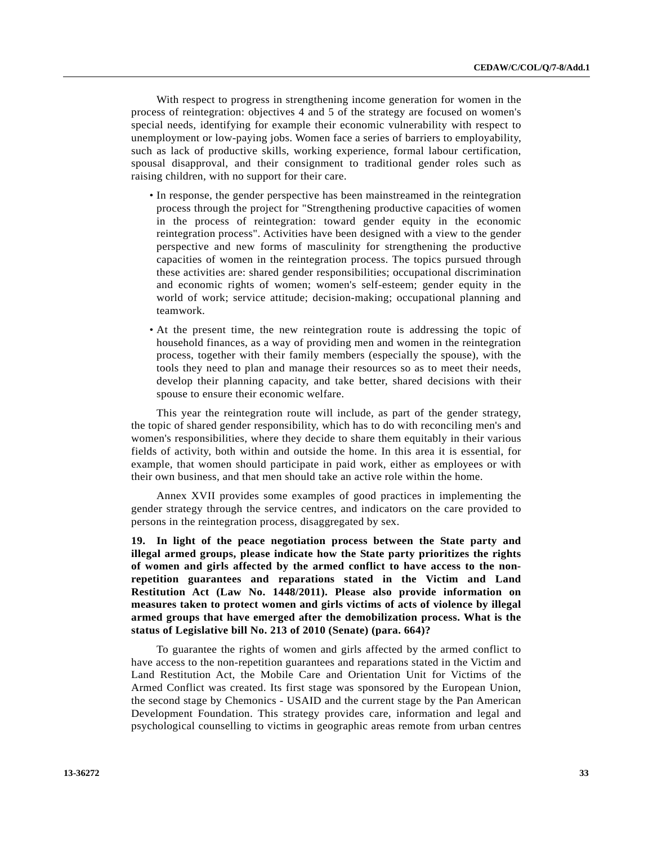With respect to progress in strengthening income generation for women in the process of reintegration: objectives 4 and 5 of the strategy are focused on women's special needs, identifying for example their economic vulnerability with respect to unemployment or low-paying jobs. Women face a series of barriers to employability, such as lack of productive skills, working experience, formal labour certification, spousal disapproval, and their consignment to traditional gender roles such as raising children, with no support for their care.

- In response, the gender perspective has been mainstreamed in the reintegration process through the project for "Strengthening productive capacities of women in the process of reintegration: toward gender equity in the economic reintegration process". Activities have been designed with a view to the gender perspective and new forms of masculinity for strengthening the productive capacities of women in the reintegration process. The topics pursued through these activities are: shared gender responsibilities; occupational discrimination and economic rights of women; women's self-esteem; gender equity in the world of work; service attitude; decision-making; occupational planning and teamwork.
- At the present time, the new reintegration route is addressing the topic of household finances, as a way of providing men and women in the reintegration process, together with their family members (especially the spouse), with the tools they need to plan and manage their resources so as to meet their needs, develop their planning capacity, and take better, shared decisions with their spouse to ensure their economic welfare.

 This year the reintegration route will include, as part of the gender strategy, the topic of shared gender responsibility, which has to do with reconciling men's and women's responsibilities, where they decide to share them equitably in their various fields of activity, both within and outside the home. In this area it is essential, for example, that women should participate in paid work, either as employees or with their own business, and that men should take an active role within the home.

 Annex XVII provides some examples of good practices in implementing the gender strategy through the service centres, and indicators on the care provided to persons in the reintegration process, disaggregated by sex.

**19. In light of the peace negotiation process between the State party and illegal armed groups, please indicate how the State party prioritizes the rights of women and girls affected by the armed conflict to have access to the nonrepetition guarantees and reparations stated in the Victim and Land Restitution Act (Law No. 1448/2011). Please also provide information on measures taken to protect women and girls victims of acts of violence by illegal armed groups that have emerged after the demobilization process. What is the status of Legislative bill No. 213 of 2010 (Senate) (para. 664)?** 

 To guarantee the rights of women and girls affected by the armed conflict to have access to the non-repetition guarantees and reparations stated in the Victim and Land Restitution Act, the Mobile Care and Orientation Unit for Victims of the Armed Conflict was created. Its first stage was sponsored by the European Union, the second stage by Chemonics - USAID and the current stage by the Pan American Development Foundation. This strategy provides care, information and legal and psychological counselling to victims in geographic areas remote from urban centres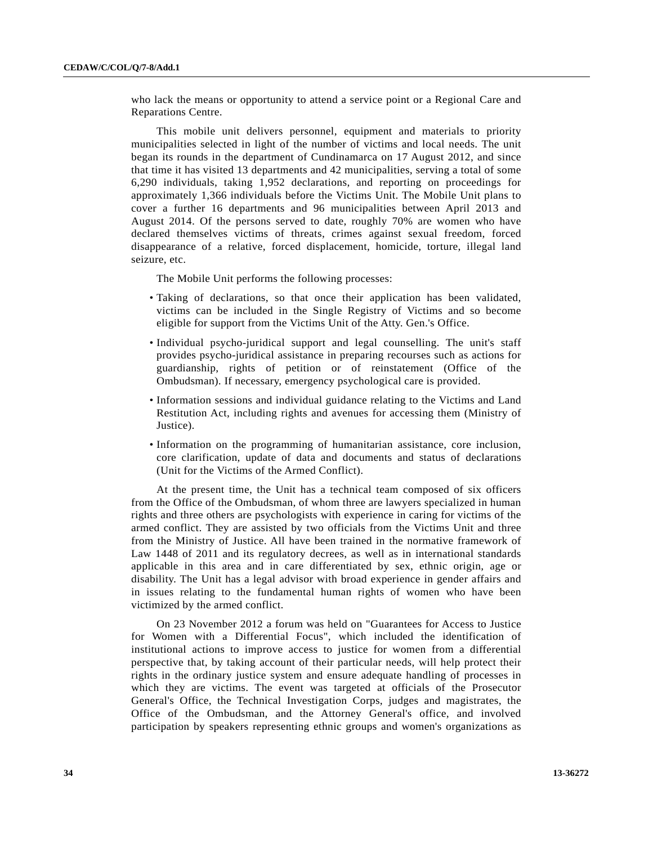who lack the means or opportunity to attend a service point or a Regional Care and Reparations Centre.

 This mobile unit delivers personnel, equipment and materials to priority municipalities selected in light of the number of victims and local needs. The unit began its rounds in the department of Cundinamarca on 17 August 2012, and since that time it has visited 13 departments and 42 municipalities, serving a total of some 6,290 individuals, taking 1,952 declarations, and reporting on proceedings for approximately 1,366 individuals before the Victims Unit. The Mobile Unit plans to cover a further 16 departments and 96 municipalities between April 2013 and August 2014. Of the persons served to date, roughly 70% are women who have declared themselves victims of threats, crimes against sexual freedom, forced disappearance of a relative, forced displacement, homicide, torture, illegal land seizure, etc.

The Mobile Unit performs the following processes:

- Taking of declarations, so that once their application has been validated, victims can be included in the Single Registry of Victims and so become eligible for support from the Victims Unit of the Atty. Gen.'s Office.
- Individual psycho-juridical support and legal counselling. The unit's staff provides psycho-juridical assistance in preparing recourses such as actions for guardianship, rights of petition or of reinstatement (Office of the Ombudsman). If necessary, emergency psychological care is provided.
- Information sessions and individual guidance relating to the Victims and Land Restitution Act, including rights and avenues for accessing them (Ministry of Justice).
- Information on the programming of humanitarian assistance, core inclusion, core clarification, update of data and documents and status of declarations (Unit for the Victims of the Armed Conflict).

 At the present time, the Unit has a technical team composed of six officers from the Office of the Ombudsman, of whom three are lawyers specialized in human rights and three others are psychologists with experience in caring for victims of the armed conflict. They are assisted by two officials from the Victims Unit and three from the Ministry of Justice. All have been trained in the normative framework of Law 1448 of 2011 and its regulatory decrees, as well as in international standards applicable in this area and in care differentiated by sex, ethnic origin, age or disability. The Unit has a legal advisor with broad experience in gender affairs and in issues relating to the fundamental human rights of women who have been victimized by the armed conflict.

 On 23 November 2012 a forum was held on "Guarantees for Access to Justice for Women with a Differential Focus", which included the identification of institutional actions to improve access to justice for women from a differential perspective that, by taking account of their particular needs, will help protect their rights in the ordinary justice system and ensure adequate handling of processes in which they are victims. The event was targeted at officials of the Prosecutor General's Office, the Technical Investigation Corps, judges and magistrates, the Office of the Ombudsman, and the Attorney General's office, and involved participation by speakers representing ethnic groups and women's organizations as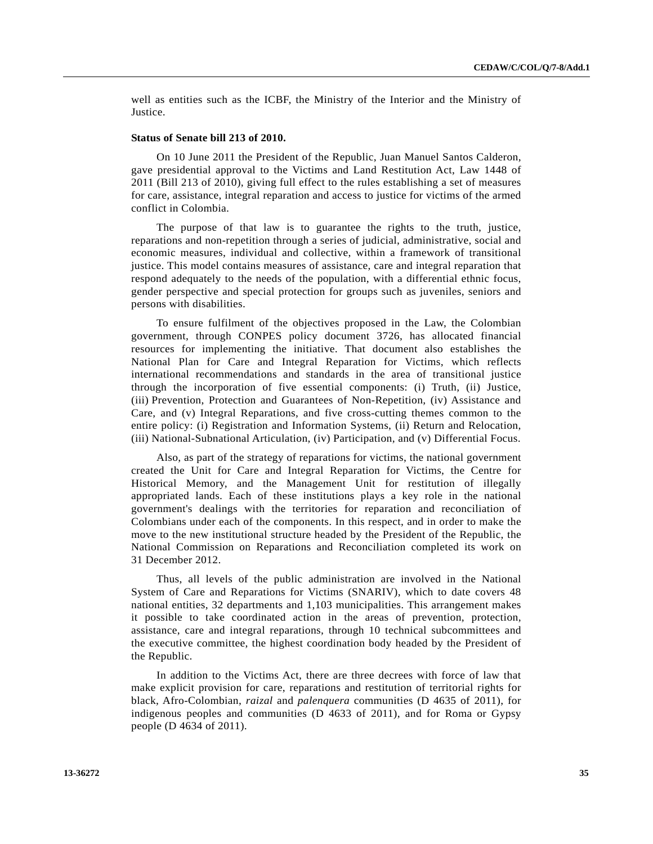well as entities such as the ICBF, the Ministry of the Interior and the Ministry of Justice.

#### **Status of Senate bill 213 of 2010.**

 On 10 June 2011 the President of the Republic, Juan Manuel Santos Calderon, gave presidential approval to the Victims and Land Restitution Act, Law 1448 of 2011 (Bill 213 of 2010), giving full effect to the rules establishing a set of measures for care, assistance, integral reparation and access to justice for victims of the armed conflict in Colombia.

 The purpose of that law is to guarantee the rights to the truth, justice, reparations and non-repetition through a series of judicial, administrative, social and economic measures, individual and collective, within a framework of transitional justice. This model contains measures of assistance, care and integral reparation that respond adequately to the needs of the population, with a differential ethnic focus, gender perspective and special protection for groups such as juveniles, seniors and persons with disabilities.

 To ensure fulfilment of the objectives proposed in the Law, the Colombian government, through CONPES policy document 3726, has allocated financial resources for implementing the initiative. That document also establishes the National Plan for Care and Integral Reparation for Victims, which reflects international recommendations and standards in the area of transitional justice through the incorporation of five essential components: (i) Truth, (ii) Justice, (iii) Prevention, Protection and Guarantees of Non-Repetition, (iv) Assistance and Care, and (v) Integral Reparations, and five cross-cutting themes common to the entire policy: (i) Registration and Information Systems, (ii) Return and Relocation, (iii) National-Subnational Articulation, (iv) Participation, and (v) Differential Focus.

 Also, as part of the strategy of reparations for victims, the national government created the Unit for Care and Integral Reparation for Victims, the Centre for Historical Memory, and the Management Unit for restitution of illegally appropriated lands. Each of these institutions plays a key role in the national government's dealings with the territories for reparation and reconciliation of Colombians under each of the components. In this respect, and in order to make the move to the new institutional structure headed by the President of the Republic, the National Commission on Reparations and Reconciliation completed its work on 31 December 2012.

 Thus, all levels of the public administration are involved in the National System of Care and Reparations for Victims (SNARIV), which to date covers 48 national entities, 32 departments and 1,103 municipalities. This arrangement makes it possible to take coordinated action in the areas of prevention, protection, assistance, care and integral reparations, through 10 technical subcommittees and the executive committee, the highest coordination body headed by the President of the Republic.

 In addition to the Victims Act, there are three decrees with force of law that make explicit provision for care, reparations and restitution of territorial rights for black, Afro-Colombian, *raizal* and *palenquera* communities (D 4635 of 2011), for indigenous peoples and communities (D 4633 of 2011), and for Roma or Gypsy people (D 4634 of 2011).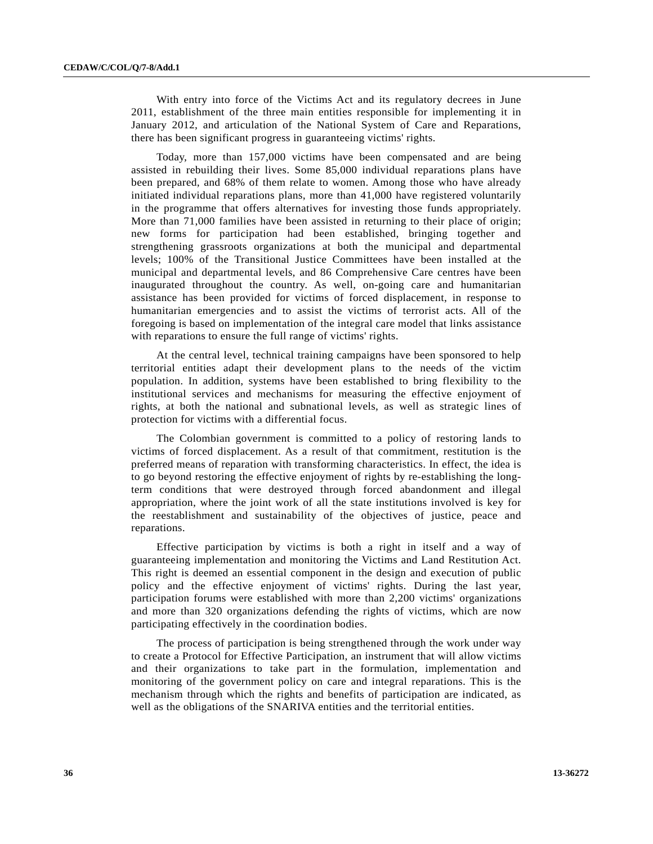With entry into force of the Victims Act and its regulatory decrees in June 2011, establishment of the three main entities responsible for implementing it in January 2012, and articulation of the National System of Care and Reparations, there has been significant progress in guaranteeing victims' rights.

 Today, more than 157,000 victims have been compensated and are being assisted in rebuilding their lives. Some 85,000 individual reparations plans have been prepared, and 68% of them relate to women. Among those who have already initiated individual reparations plans, more than 41,000 have registered voluntarily in the programme that offers alternatives for investing those funds appropriately. More than 71,000 families have been assisted in returning to their place of origin; new forms for participation had been established, bringing together and strengthening grassroots organizations at both the municipal and departmental levels; 100% of the Transitional Justice Committees have been installed at the municipal and departmental levels, and 86 Comprehensive Care centres have been inaugurated throughout the country. As well, on-going care and humanitarian assistance has been provided for victims of forced displacement, in response to humanitarian emergencies and to assist the victims of terrorist acts. All of the foregoing is based on implementation of the integral care model that links assistance with reparations to ensure the full range of victims' rights.

 At the central level, technical training campaigns have been sponsored to help territorial entities adapt their development plans to the needs of the victim population. In addition, systems have been established to bring flexibility to the institutional services and mechanisms for measuring the effective enjoyment of rights, at both the national and subnational levels, as well as strategic lines of protection for victims with a differential focus.

 The Colombian government is committed to a policy of restoring lands to victims of forced displacement. As a result of that commitment, restitution is the preferred means of reparation with transforming characteristics. In effect, the idea is to go beyond restoring the effective enjoyment of rights by re-establishing the longterm conditions that were destroyed through forced abandonment and illegal appropriation, where the joint work of all the state institutions involved is key for the reestablishment and sustainability of the objectives of justice, peace and reparations.

 Effective participation by victims is both a right in itself and a way of guaranteeing implementation and monitoring the Victims and Land Restitution Act. This right is deemed an essential component in the design and execution of public policy and the effective enjoyment of victims' rights. During the last year, participation forums were established with more than 2,200 victims' organizations and more than 320 organizations defending the rights of victims, which are now participating effectively in the coordination bodies.

 The process of participation is being strengthened through the work under way to create a Protocol for Effective Participation, an instrument that will allow victims and their organizations to take part in the formulation, implementation and monitoring of the government policy on care and integral reparations. This is the mechanism through which the rights and benefits of participation are indicated, as well as the obligations of the SNARIVA entities and the territorial entities.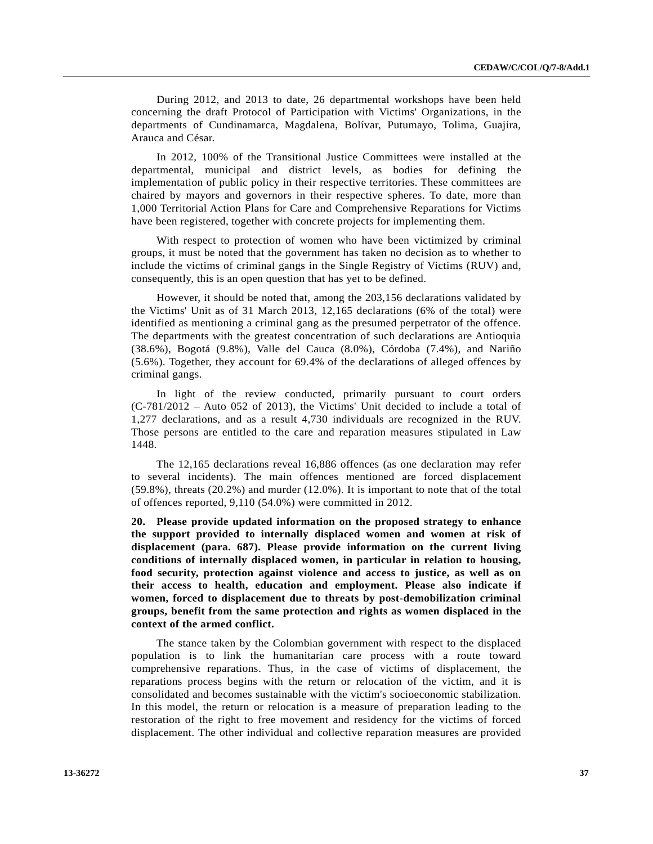During 2012, and 2013 to date, 26 departmental workshops have been held concerning the draft Protocol of Participation with Victims' Organizations, in the departments of Cundinamarca, Magdalena, Bolívar, Putumayo, Tolima, Guajira, Arauca and César.

 In 2012, 100% of the Transitional Justice Committees were installed at the departmental, municipal and district levels, as bodies for defining the implementation of public policy in their respective territories. These committees are chaired by mayors and governors in their respective spheres. To date, more than 1,000 Territorial Action Plans for Care and Comprehensive Reparations for Victims have been registered, together with concrete projects for implementing them.

 With respect to protection of women who have been victimized by criminal groups, it must be noted that the government has taken no decision as to whether to include the victims of criminal gangs in the Single Registry of Victims (RUV) and, consequently, this is an open question that has yet to be defined.

 However, it should be noted that, among the 203,156 declarations validated by the Victims' Unit as of 31 March 2013, 12,165 declarations (6% of the total) were identified as mentioning a criminal gang as the presumed perpetrator of the offence. The departments with the greatest concentration of such declarations are Antioquia (38.6%), Bogotá (9.8%), Valle del Cauca (8.0%), Córdoba (7.4%), and Nariño (5.6%). Together, they account for 69.4% of the declarations of alleged offences by criminal gangs.

 In light of the review conducted, primarily pursuant to court orders (C-781/2012 – Auto 052 of 2013), the Victims' Unit decided to include a total of 1,277 declarations, and as a result 4,730 individuals are recognized in the RUV. Those persons are entitled to the care and reparation measures stipulated in Law 1448.

 The 12,165 declarations reveal 16,886 offences (as one declaration may refer to several incidents). The main offences mentioned are forced displacement (59.8%), threats (20.2%) and murder (12.0%). It is important to note that of the total of offences reported, 9,110 (54.0%) were committed in 2012.

**20. Please provide updated information on the proposed strategy to enhance the support provided to internally displaced women and women at risk of displacement (para. 687). Please provide information on the current living conditions of internally displaced women, in particular in relation to housing, food security, protection against violence and access to justice, as well as on their access to health, education and employment. Please also indicate if women, forced to displacement due to threats by post-demobilization criminal groups, benefit from the same protection and rights as women displaced in the context of the armed conflict.** 

 The stance taken by the Colombian government with respect to the displaced population is to link the humanitarian care process with a route toward comprehensive reparations. Thus, in the case of victims of displacement, the reparations process begins with the return or relocation of the victim, and it is consolidated and becomes sustainable with the victim's socioeconomic stabilization. In this model, the return or relocation is a measure of preparation leading to the restoration of the right to free movement and residency for the victims of forced displacement. The other individual and collective reparation measures are provided